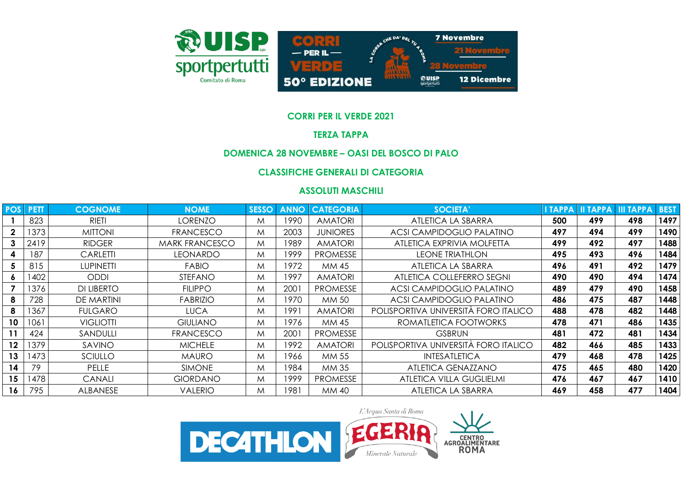

## **CORRI PER IL VERDE 2021**

# **TERZA TAPPA**

### **DOMENICA 28 NOVEMBRE – OASI DEL BOSCO DI PALO**

# **CLASSIFICHE GENERALI DI CATEGORIA**

### **ASSOLUTI MASCHILI**

| <b>POS</b>   | <b>PETT</b> | <b>COGNOME</b>   | <b>NOME</b>           | <b>SESSO</b> | <b>ANNO</b> | <b>CATEGORIA</b> | SOCIETA'                             | <b>TAPPA</b> | <b>II TAPPA</b> | <b>III TAPPA</b> | <b>BEST</b> |
|--------------|-------------|------------------|-----------------------|--------------|-------------|------------------|--------------------------------------|--------------|-----------------|------------------|-------------|
|              | 823         | <b>RIETI</b>     | <b>LORENZO</b>        | M            | 1990        | <b>AMATORI</b>   | ATLETICA LA SBARRA                   | 500          | 499             | 498              | 1497        |
| $\mathbf{2}$ | 1373        | MITTONI          | <b>FRANCESCO</b>      | M            | 2003        | <b>JUNIORES</b>  | ACSI CAMPIDOGLIO PALATINO            | 497          | 494             | 499              | 1490        |
| 3            | 2419        | <b>RIDGER</b>    | <b>MARK FRANCESCO</b> | M            | 1989        | <b>AMATORI</b>   | ATLETICA EXPRIVIA MOLFETTA           | 499          | 492             | 497              | 1488        |
| 4            | 187         | CARLETTI         | <b>LEONARDO</b>       | M            | 1999        | <b>PROMESSE</b>  | <b>LEONE TRIATHLON</b>               | 495          | 493             | 496              | 1484        |
| 5            | 815         | <b>LUPINETTI</b> | <b>FABIO</b>          | M            | 1972        | MM 45            | ATLETICA LA SBARRA                   | 496          | 491             | 492              | 1479        |
| ٥            | l 402       | <b>ODDI</b>      | <b>STEFANO</b>        | M            | 1997        | <b>AMATORI</b>   | ATLETICA COLLEFERRO SEGNI            | 490          | 490             | 494              | 1474        |
|              | 1376        | DI LIBERTO       | <b>FILIPPO</b>        | M            | 2001        | <b>PROMESSE</b>  | ACSI CAMPIDOGLIO PALATINO            | 489          | 479             | 490              | 1458        |
| 8            | 728         | DE MARTINI       | <b>FABRIZIO</b>       | M            | 1970        | MM 50            | <b>ACSI CAMPIDOGLIO PALATINO</b>     | 486          | 475             | 487              | 1448        |
| 8            | 1367        | <b>FULGARO</b>   | <b>LUCA</b>           | M            | 1991        | <b>AMATORI</b>   | POLISPORTIVA UNIVERSITÀ FORO ITALICO | 488          | 478             | 482              | 1448        |
| 10           | 1061        | <b>VIGLIOTTI</b> | <b>GIULIANO</b>       | M            | 1976.       | MM 45            | ROMATLETICA FOOTWORKS                | 478          | 471             | 486              | 1435        |
| 11           | 424         | SANDULLI         | <b>FRANCESCO</b>      | M            | 2001        | <b>PROMESSE</b>  | <b>GSBRUN</b>                        | 481          | 472             | 481              | 1434        |
| 12           | 1379        | SAVINO           | <b>MICHELE</b>        | M            | 1992        | <b>AMATORI</b>   | POLISPORTIVA UNIVERSITÀ FORO ITALICO | 482          | 466             | 485              | 1433        |
| 13           | 1473        | SCIULLO          | <b>MAURO</b>          | M            | 1966        | MM 55            | <b>INTESATLETICA</b>                 | 479          | 468             | 478              | 1425        |
| 14           | 79          | PELLE            | <b>SIMONE</b>         | M            | 1984        | MM 35            | ATLETICA GENAZZANO                   | 475          | 465             | 480              | 1420        |
| 15           | 1478        | <b>CANALI</b>    | <b>GIORDANO</b>       | M            | 1999        | <b>PROMESSE</b>  | ATLETICA VILLA GUGLIELMI             | 476          | 467             | 467              | 1410        |
| 16           | 795         | <b>ALBANESE</b>  | <b>VALERIO</b>        | M            | 1981        | MM 40            | ATLETICA LA SBARRA                   | 469          | 458             | 477              | 1404        |

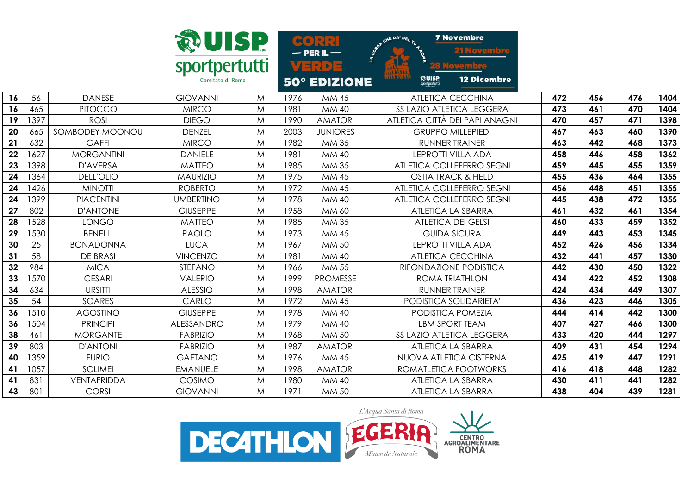|    |      |                    |                  | <b>REP UISP</b> |      |                 | <b>7 Novembre</b><br>CHE DA' DEL TU 4 B<br>J<br><b>ALA ALL</b>  |     |     |     |      |
|----|------|--------------------|------------------|-----------------|------|-----------------|-----------------------------------------------------------------|-----|-----|-----|------|
|    |      |                    | Comitato di Roma |                 |      | 50° EDIZIONE    | 11411111<br><b>RUISP</b><br><b>12 Dicembre</b><br>sportpertutti |     |     |     |      |
| 16 | 56   | <b>DANESE</b>      | <b>GIOVANNI</b>  | M               | 1976 | MM 45           | <b>ATLETICA CECCHINA</b>                                        | 472 | 456 | 476 | 1404 |
| 16 | 465  | <b>PITOCCO</b>     | <b>MIRCO</b>     | M               | 1981 | MM 40           | SS LAZIO ATLETICA LEGGERA                                       | 473 | 461 | 470 | 1404 |
| 19 | 1397 | <b>ROSI</b>        | <b>DIEGO</b>     | M               | 1990 | <b>AMATORI</b>  | ATLETICA CITTÀ DEI PAPI ANAGNI                                  | 470 | 457 | 471 | 1398 |
| 20 | 665  | SOMBODEY MOONOU    | <b>DENZEL</b>    | M               | 2003 | <b>JUNIORES</b> | <b>GRUPPO MILLEPIEDI</b>                                        | 467 | 463 | 460 | 1390 |
| 21 | 632  | <b>GAFFI</b>       | <b>MIRCO</b>     | M               | 1982 | MM 35           | <b>RUNNER TRAINER</b>                                           | 463 | 442 | 468 | 1373 |
| 22 | 1627 | <b>MORGANTINI</b>  | <b>DANIELE</b>   | M               | 1981 | MM 40           | <b>LEPROTTI VILLA ADA</b>                                       | 458 | 446 | 458 | 1362 |
| 23 | 1398 | <b>D'AVERSA</b>    | <b>MATTEO</b>    | M               | 1985 | MM 35           | ATLETICA COLLEFERRO SEGNI                                       | 459 | 445 | 455 | 1359 |
| 24 | 1364 | <b>DELL'OLIO</b>   | <b>MAURIZIO</b>  | M               | 1975 | <b>MM45</b>     | <b>OSTIA TRACK &amp; FIELD</b>                                  | 455 | 436 | 464 | 1355 |
| 24 | 1426 | <b>MINOTTI</b>     | <b>ROBERTO</b>   | M               | 1972 | <b>MM 45</b>    | ATLETICA COLLEFERRO SEGNI                                       | 456 | 448 | 451 | 1355 |
| 24 | 1399 | <b>PIACENTINI</b>  | <b>UMBERTINO</b> | M               | 1978 | MM 40           | ATLETICA COLLEFERRO SEGNI                                       | 445 | 438 | 472 | 1355 |
| 27 | 802  | <b>D'ANTONE</b>    | <b>GIUSEPPE</b>  | M               | 1958 | MM 60           | <b>ATLETICA LA SBARRA</b>                                       | 461 | 432 | 461 | 1354 |
| 28 | 1528 | <b>LONGO</b>       | <b>MATTEO</b>    | M               | 1985 | <b>MM35</b>     | <b>ATLETICA DEI GELSI</b>                                       | 460 | 433 | 459 | 1352 |
| 29 | 1530 | <b>BENELLI</b>     | <b>PAOLO</b>     | M               | 1973 | MM 45           | <b>GUIDA SICURA</b>                                             | 449 | 443 | 453 | 1345 |
| 30 | 25   | <b>BONADONNA</b>   | <b>LUCA</b>      | M               | 1967 | MM 50           | <b>LEPROTTI VILLA ADA</b>                                       | 452 | 426 | 456 | 1334 |
| 31 | 58   | <b>DE BRASI</b>    | <b>VINCENZO</b>  | M               | 1981 | MM 40           | <b>ATLETICA CECCHINA</b>                                        | 432 | 441 | 457 | 1330 |
| 32 | 984  | <b>MICA</b>        | STEFANO          | M               | 1966 | MM 55           | RIFONDAZIONE PODISTICA                                          | 442 | 430 | 450 | 1322 |
| 33 | 1570 | <b>CESARI</b>      | <b>VALERIO</b>   | M               | 1999 | <b>PROMESSE</b> | ROMA TRIATHLON                                                  | 434 | 422 | 452 | 1308 |
| 34 | 634  | <b>URSITTI</b>     | <b>ALESSIO</b>   | M               | 1998 | <b>AMATORI</b>  | <b>RUNNER TRAINER</b>                                           | 424 | 434 | 449 | 1307 |
| 35 | 54   | <b>SOARES</b>      | CARLO            | M               | 1972 | <b>MM 45</b>    | PODISTICA SOLIDARIETA'                                          | 436 | 423 | 446 | 1305 |
| 36 | 1510 | <b>AGOSTINO</b>    | <b>GIUSEPPE</b>  | M               | 1978 | MM 40           | PODISTICA POMEZIA                                               | 444 | 414 | 442 | 1300 |
| 36 | 1504 | <b>PRINCIPI</b>    | ALESSANDRO       | M               | 1979 | MM 40           | LBM SPORT TEAM                                                  | 407 | 427 | 466 | 1300 |
| 38 | 461  | <b>MORGANTE</b>    | <b>FABRIZIO</b>  | M               | 1968 | <b>MM 50</b>    | SS LAZIO ATLETICA LEGGERA                                       | 433 | 420 | 444 | 1297 |
| 39 | 803  | <b>D'ANTONI</b>    | <b>FABRIZIO</b>  | M               | 1987 | <b>AMATORI</b>  | ATLETICA LA SBARRA                                              | 409 | 431 | 454 | 1294 |
| 40 | 1359 | <b>FURIO</b>       | <b>GAETANO</b>   | M               | 1976 | MM 45           | NUOVA ATLETICA CISTERNA                                         | 425 | 419 | 447 | 1291 |
| 41 | 1057 | <b>SOLIMEI</b>     | <b>EMANUELE</b>  | M               | 1998 | <b>AMATORI</b>  | ROMATLETICA FOOTWORKS                                           | 416 | 418 | 448 | 1282 |
| 41 | 831  | <b>VENTAFRIDDA</b> | COSIMO           | M               | 1980 | MM 40           | ATLETICA LA SBARRA                                              | 430 | 411 | 441 | 1282 |
| 43 | 801  | <b>CORSI</b>       | <b>GIOVANNI</b>  | M               | 1971 | MM 50           | <b>ATLETICA LA SBARRA</b>                                       | 438 | 404 | 439 | 1281 |

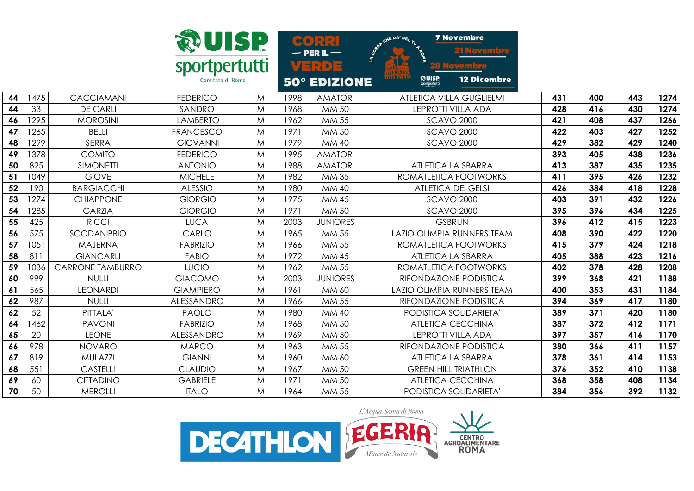|    |      |                         | <b>WANSP</b><br>sportpertutti |   |      | <b>BEE OP</b><br>$-$ PER IL $-$<br>VERDE | <b>7 Novembre</b><br>CHE DA' DEL TU 18                              |     |     |     |      |
|----|------|-------------------------|-------------------------------|---|------|------------------------------------------|---------------------------------------------------------------------|-----|-----|-----|------|
|    |      |                         | Comitato di Roma              |   |      | <b>50° EDIZIONE</b>                      | <b>HAAAM</b><br><b>RUISP</b><br><b>12 Dicembre</b><br>sportpertutti |     |     |     |      |
| 44 | 1475 | <b>CACCIAMANI</b>       | <b>FEDERICO</b>               | M | 1998 | <b>AMATORI</b>                           | ATLETICA VILLA GUGLIELMI                                            | 431 | 400 | 443 | 1274 |
| 44 | 33   | <b>DE CARLI</b>         | SANDRO                        | M | 1968 | MM 50                                    | <b>LEPROTTI VILLA ADA</b>                                           | 428 | 416 | 430 | 1274 |
| 46 | 1295 | <b>MOROSINI</b>         | <b>LAMBERTO</b>               | M | 1962 | MM 55                                    | <b>SCAVO 2000</b>                                                   | 421 | 408 | 437 | 1266 |
| 47 | 1265 | <b>BELLI</b>            | <b>FRANCESCO</b>              | M | 1971 | MM 50                                    | <b>SCAVO 2000</b>                                                   | 422 | 403 | 427 | 1252 |
| 48 | 1299 | <b>SERRA</b>            | <b>GIOVANNI</b>               | M | 1979 | MM 40                                    | <b>SCAVO 2000</b>                                                   | 429 | 382 | 429 | 1240 |
| 49 | 1378 | <b>COMITO</b>           | <b>FEDERICO</b>               | M | 1995 | <b>AMATORI</b>                           |                                                                     | 393 | 405 | 438 | 1236 |
| 50 | 825  | <b>SIMONETTI</b>        | <b>ANTONIO</b>                | M | 1988 | <b>AMATORI</b>                           | ATLETICA LA SBARRA                                                  | 413 | 387 | 435 | 1235 |
| 51 | 1049 | <b>GIOVE</b>            | <b>MICHELE</b>                | M | 1982 | MM 35                                    | ROMATLETICA FOOTWORKS                                               | 411 | 395 | 426 | 1232 |
| 52 | 190  | <b>BARGIACCHI</b>       | <b>ALESSIO</b>                | M | 1980 | MM 40                                    | <b>ATLETICA DEI GELSI</b>                                           | 426 | 384 | 418 | 1228 |
| 53 | 1274 | <b>CHIAPPONE</b>        | <b>GIORGIO</b>                | M | 1975 | MM 45                                    | <b>SCAVO 2000</b>                                                   | 403 | 391 | 432 | 1226 |
| 54 | 1285 | <b>GARZIA</b>           | <b>GIORGIO</b>                | M | 1971 | MM 50                                    | <b>SCAVO 2000</b>                                                   | 395 | 396 | 434 | 1225 |
| 55 | 425  | <b>RICCI</b>            | <b>LUCA</b>                   | M | 2003 | <b>JUNIORES</b>                          | <b>GSBRUN</b>                                                       | 396 | 412 | 415 | 1223 |
| 56 | 575  | <b>SCODANIBBIO</b>      | CARLO                         | M | 1965 | MM 55                                    | <b>LAZIO OLIMPIA RUNNERS TEAM</b>                                   | 408 | 390 | 422 | 1220 |
| 57 | 1051 | <b>MAJERNA</b>          | <b>FABRIZIO</b>               | M | 1966 | MM 55                                    | ROMATLETICA FOOTWORKS                                               | 415 | 379 | 424 | 1218 |
| 58 | 811  | <b>GIANCARLI</b>        | <b>FABIO</b>                  | M | 1972 | MM 45                                    | <b>ATLETICA LA SBARRA</b>                                           | 405 | 388 | 423 | 1216 |
| 59 | 1036 | <b>CARRONE TAMBURRO</b> | <b>LUCIO</b>                  | M | 1962 | MM 55                                    | ROMATLETICA FOOTWORKS                                               | 402 | 378 | 428 | 1208 |
| 60 | 999  | <b>NULLI</b>            | <b>GIACOMO</b>                | M | 2003 | <b>JUNIORES</b>                          | RIFONDAZIONE PODISTICA                                              | 399 | 368 | 421 | 1188 |
| 61 | 565  | <b>LEONARDI</b>         | <b>GIAMPIERO</b>              | M | 1961 | MM 60                                    | LAZIO OLIMPIA RUNNERS TEAM                                          | 400 | 353 | 431 | 1184 |
| 62 | 987  | <b>NULLI</b>            | ALESSANDRO                    | M | 1966 | MM 55                                    | RIFONDAZIONE PODISTICA                                              | 394 | 369 | 417 | 1180 |
| 62 | 52   | PITTALA'                | <b>PAOLO</b>                  | M | 1980 | MM 40                                    | PODISTICA SOLIDARIETA'                                              | 389 | 371 | 420 | 1180 |
| 64 | 1462 | <b>PAVONI</b>           | <b>FABRIZIO</b>               | M | 1968 | MM 50                                    | ATLETICA CECCHINA                                                   | 387 | 372 | 412 | 1171 |
| 65 | 20   | <b>LEONE</b>            | ALESSANDRO                    | M | 1969 | MM 50                                    | <b>LEPROTTI VILLA ADA</b>                                           | 397 | 357 | 416 | 1170 |
| 66 | 978  | <b>NOVARO</b>           | <b>MARCO</b>                  | M | 1963 | MM 55                                    | RIFONDAZIONE PODISTICA                                              | 380 | 366 | 411 | 1157 |
| 67 | 819  | MULAZZI                 | <b>GIANNI</b>                 | M | 1960 | MM 60                                    | ATLETICA LA SBARRA                                                  | 378 | 361 | 414 | 1153 |
| 68 | 551  | <b>CASTELLI</b>         | <b>CLAUDIO</b>                | M | 1967 | MM 50                                    | <b>GREEN HILL TRIATHLON</b>                                         | 376 | 352 | 410 | 1138 |
| 69 | 60   | <b>CITTADINO</b>        | <b>GABRIELE</b>               | M | 1971 | MM 50                                    | ATLETICA CECCHINA                                                   | 368 | 358 | 408 | 1134 |
| 70 | 50   | <b>MEROLLI</b>          | <b>ITALO</b>                  | M | 1964 | MM 55                                    | PODISTICA SOLIDARIETA'                                              | 384 | 356 | 392 | 1132 |

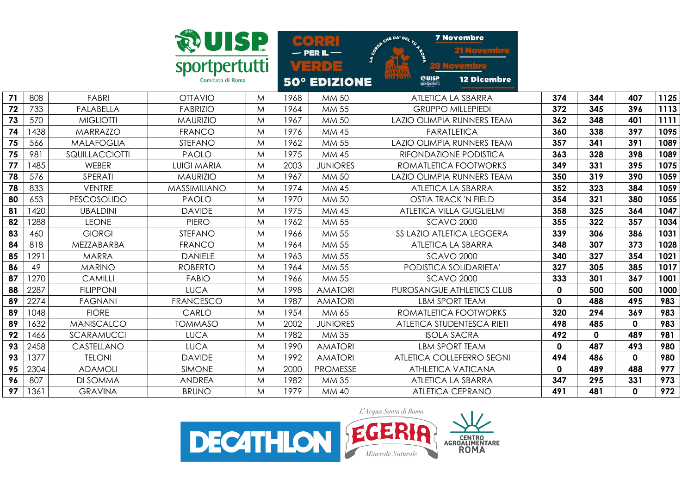|    |      |                   | <b>ReUISP</b>       |   |      | $[40]$ $[3]$<br>$-$ PER IL $-$ | CHE DA' DEL TU 4 BOS          |                               | <b>7 Novembre</b>                |             |              |              |      |
|----|------|-------------------|---------------------|---|------|--------------------------------|-------------------------------|-------------------------------|----------------------------------|-------------|--------------|--------------|------|
|    |      |                   | Comitato di Roma    |   |      | VERDE<br>50° EDIZIONE          | 5<br><b>AAAAAAA</b><br>144441 | <b>@UISP</b><br>sportpertutti | <b>12 Dicembre</b>               |             |              |              |      |
| 71 | 808  | <b>FABRI</b>      | <b>OTTAVIO</b>      | M | 1968 | MM 50                          |                               |                               | <b>ATLETICA LA SBARRA</b>        | 374         | 344          | 407          | 1125 |
| 72 | 733  | <b>FALABELLA</b>  | <b>FABRIZIO</b>     | M | 1964 | MM 55                          |                               |                               | <b>GRUPPO MILLEPIEDI</b>         | 372         | 345          | 396          | 1113 |
| 73 | 570  | <b>MIGLIOTTI</b>  | <b>MAURIZIO</b>     | M | 1967 | MM 50                          |                               |                               | LAZIO OLIMPIA RUNNERS TEAM       | 362         | 348          | 401          | 1111 |
| 74 | 1438 | <b>MARRAZZO</b>   | <b>FRANCO</b>       | M | 1976 | MM 45                          |                               |                               | <b>FARATLETICA</b>               | 360         | 338          | 397          | 1095 |
| 75 | 566  | <b>MALAFOGLIA</b> | STEFANO             | M | 1962 | MM 55                          |                               |                               | LAZIO OLIMPIA RUNNERS TEAM       | 357         | 341          | 391          | 1089 |
| 75 | 981  | SQUILLACCIOTTI    | <b>PAOLO</b>        | M | 1975 | MM 45                          |                               |                               | RIFONDAZIONE PODISTICA           | 363         | 328          | 398          | 1089 |
| 77 | 1485 | <b>WEBER</b>      | <b>LUIGI MARIA</b>  | M | 2003 | <b>JUNIORES</b>                |                               |                               | ROMATLETICA FOOTWORKS            | 349         | 331          | 395          | 1075 |
| 78 | 576  | SPERATI           | <b>MAURIZIO</b>     | M | 1967 | MM 50                          |                               |                               | LAZIO OLIMPIA RUNNERS TEAM       | 350         | 319          | 390          | 1059 |
| 78 | 833  | <b>VENTRE</b>     | <b>MASSIMILIANO</b> | M | 1974 | MM 45                          |                               |                               | ATLETICA LA SBARRA               | 352         | 323          | 384          | 1059 |
| 80 | 653  | PESCOSOLIDO       | <b>PAOLO</b>        | M | 1970 | MM 50                          |                               |                               | <b>OSTIA TRACK 'N FIELD</b>      | 354         | 321          | 380          | 1055 |
| 81 | 1420 | <b>UBALDINI</b>   | <b>DAVIDE</b>       | M | 1975 | MM 45                          |                               |                               | <b>ATLETICA VILLA GUGLIELMI</b>  | 358         | 325          | 364          | 1047 |
| 82 | 1288 | <b>LEONE</b>      | <b>PIERO</b>        | M | 1962 | MM 55                          |                               |                               | <b>SCAVO 2000</b>                | 355         | 322          | 357          | 1034 |
| 83 | 460  | <b>GIORGI</b>     | STEFANO             | M | 1966 | MM 55                          |                               |                               | SS LAZIO ATLETICA LEGGERA        | 339         | 306          | 386          | 1031 |
| 84 | 818  | MEZZABARBA        | <b>FRANCO</b>       | M | 1964 | MM 55                          |                               |                               | ATLETICA LA SBARRA               | 348         | 307          | 373          | 1028 |
| 85 | 1291 | <b>MARRA</b>      | <b>DANIELE</b>      | M | 1963 | MM 55                          |                               |                               | <b>SCAVO 2000</b>                | 340         | 327          | 354          | 1021 |
| 86 | 49   | <b>MARINO</b>     | <b>ROBERTO</b>      | M | 1964 | MM 55                          |                               |                               | PODISTICA SOLIDARIETA'           | 327         | 305          | 385          | 1017 |
| 87 | 1270 | <b>CAMILLI</b>    | <b>FABIO</b>        | M | 1966 | MM 55                          |                               |                               | <b>SCAVO 2000</b>                | 333         | 301          | 367          | 1001 |
| 88 | 2287 | <b>FILIPPONI</b>  | <b>LUCA</b>         | M | 1998 | <b>AMATORI</b>                 |                               |                               | <b>PUROSANGUE ATHLETICS CLUB</b> | $\mathbf 0$ | 500          | 500          | 1000 |
| 89 | 2274 | <b>FAGNANI</b>    | <b>FRANCESCO</b>    | M | 1987 | <b>AMATORI</b>                 |                               |                               | <b>LBM SPORT TEAM</b>            | $\mathbf 0$ | 488          | 495          | 983  |
| 89 | 1048 | <b>FIORE</b>      | CARLO               | M | 1954 | MM 65                          |                               |                               | ROMATLETICA FOOTWORKS            | 320         | 294          | 369          | 983  |
| 89 | 1632 | <b>MANISCALCO</b> | <b>TOMMASO</b>      | M | 2002 | <b>JUNIORES</b>                |                               |                               | ATLETICA STUDENTESCA RIETI       | 498         | 485          | 0            | 983  |
| 92 | 1466 | <b>SCARAMUCCI</b> | <b>LUCA</b>         | M | 1982 | MM 35                          |                               |                               | <b>ISOLA SACRA</b>               | 492         | $\mathbf{0}$ | 489          | 981  |
| 93 | 2458 | CASTELLANO        | <b>LUCA</b>         | M | 1990 | <b>AMATORI</b>                 |                               |                               | LBM SPORT TEAM                   | $\mathbf 0$ | 487          | 493          | 980  |
| 93 | 1377 | <b>TELONI</b>     | <b>DAVIDE</b>       | M | 1992 | <b>AMATORI</b>                 |                               |                               | ATLETICA COLLEFERRO SEGNI        | 494         | 486          | $\mathbf{0}$ | 980  |
| 95 | 2304 | <b>ADAMOLI</b>    | <b>SIMONE</b>       | M | 2000 | <b>PROMESSE</b>                |                               |                               | <b>ATHLETICA VATICANA</b>        | $\mathbf 0$ | 489          | 488          | 977  |
| 96 | 807  | <b>DI SOMMA</b>   | <b>ANDREA</b>       | M | 1982 | MM 35                          |                               |                               | ATLETICA LA SBARRA               | 347         | 295          | 331          | 973  |
| 97 | 1361 | <b>GRAVINA</b>    | <b>BRUNO</b>        | M | 1979 | MM 40                          |                               |                               | <b>ATLETICA CEPRANO</b>          | 491         | 481          | $\mathbf 0$  | 972  |

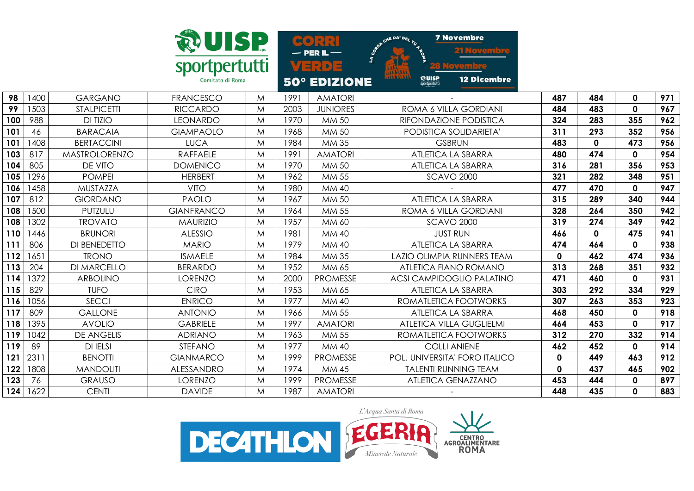|     |      |                    |                                   |   | $\alpha$ or $\alpha$ | <b>7 Novembre</b><br>CHE DA' DEL TU 1 PO       |                                                |             |             |              |     |
|-----|------|--------------------|-----------------------------------|---|----------------------|------------------------------------------------|------------------------------------------------|-------------|-------------|--------------|-----|
|     |      |                    | <b>ROUISP</b><br>Comitato di Roma |   |                      | $-$ PER IL $-$<br>VERDE<br><b>50° EDIZIONE</b> | 118/111<br><b>ROUISP</b><br><b>12 Dicembre</b> |             |             |              |     |
| 98  | 1400 | <b>GARGANO</b>     | <b>FRANCESCO</b>                  | M | 1991                 | <b>AMATORI</b>                                 |                                                | 487         | 484         | 0            | 971 |
| 99  | 1503 | <b>STALPICETTI</b> | <b>RICCARDO</b>                   | M | 2003                 | <b>JUNIORES</b>                                | ROMA 6 VILLA GORDIANI                          | 484         | 483         | $\mathbf{0}$ | 967 |
| 100 | 988  | <b>DI TIZIO</b>    | <b>LEONARDO</b>                   | M | 1970                 | MM 50                                          | RIFONDAZIONE PODISTICA                         | 324         | 283         | 355          | 962 |
| 101 | 46   | <b>BARACAIA</b>    | <b>GIAMPAOLO</b>                  | M | 1968                 | MM 50                                          | PODISTICA SOLIDARIETA'                         | 311         | 293         | 352          | 956 |
| 101 | 1408 | <b>BERTACCINI</b>  | <b>LUCA</b>                       | M | 1984                 | MM 35                                          | <b>GSBRUN</b>                                  | 483         | $\mathbf 0$ | 473          | 956 |
| 103 | 817  | MASTROLORENZO      | <b>RAFFAELE</b>                   | M | 1991                 | <b>AMATORI</b>                                 | ATLETICA LA SBARRA                             | 480         | 474         | 0            | 954 |
| 104 | 805  | DE VITO            | <b>DOMENICO</b>                   | M | 1970                 | MM 50                                          | ATLETICA LA SBARRA                             | 316         | 281         | 356          | 953 |
| 105 | 1296 | <b>POMPEI</b>      | <b>HERBERT</b>                    | M | 1962                 | MM 55                                          | <b>SCAVO 2000</b>                              | 321         | 282         | 348          | 951 |
| 106 | 1458 | MUSTAZZA           | <b>VITO</b>                       | M | 1980                 | <b>MM 40</b>                                   |                                                | 477         | 470         | 0            | 947 |
| 107 | 812  | <b>GIORDANO</b>    | <b>PAOLO</b>                      | M | 1967                 | MM 50                                          | <b>ATLETICA LA SBARRA</b>                      | 315         | 289         | 340          | 944 |
| 108 | 1500 | PUTZULU            | <b>GIANFRANCO</b>                 | M | 1964                 | MM 55                                          | ROMA 6 VILLA GORDIANI                          | 328         | 264         | 350          | 942 |
| 108 | 1302 | <b>TROVATO</b>     | <b>MAURIZIO</b>                   | M | 1957                 | MM 60                                          | <b>SCAVO 2000</b>                              | 319         | 274         | 349          | 942 |
| 110 | 1446 | <b>BRUNORI</b>     | <b>ALESSIO</b>                    | M | 1981                 | MM 40                                          | <b>JUST RUN</b>                                | 466         | $\mathbf 0$ | 475          | 941 |
| 111 | 806  | DI BENEDETTO       | <b>MARIO</b>                      | M | 1979                 | MM 40                                          | ATLETICA LA SBARRA                             | 474         | 464         | 0            | 938 |
| 112 | 1651 | <b>TRONO</b>       | <b>ISMAELE</b>                    | M | 1984                 | MM 35                                          | LAZIO OLIMPIA RUNNERS TEAM                     | $\mathbf 0$ | 462         | 474          | 936 |
| 113 | 204  | <b>DI MARCELLO</b> | <b>BERARDO</b>                    | M | 1952                 | MM 65                                          | ATLETICA FIANO ROMANO                          | 313         | 268         | 351          | 932 |
| 114 | 1372 | <b>ARBOLINO</b>    | <b>LORENZO</b>                    | M | 2000                 | <b>PROMESSE</b>                                | <b>ACSI CAMPIDOGLIO PALATINO</b>               | 471         | 460         | $\mathbf{0}$ | 931 |
| 115 | 829  | <b>TUFO</b>        | <b>CIRO</b>                       | M | 1953                 | MM 65                                          | ATLETICA LA SBARRA                             | 303         | 292         | 334          | 929 |
| 116 | 1056 | <b>SECCI</b>       | <b>ENRICO</b>                     | M | 1977                 | <b>MM 40</b>                                   | ROMATLETICA FOOTWORKS                          | 307         | 263         | 353          | 923 |
| 117 | 809  | <b>GALLONE</b>     | <b>ANTONIO</b>                    | M | 1966                 | MM 55                                          | ATLETICA LA SBARRA                             | 468         | 450         | 0            | 918 |
| 118 | 1395 | <b>AVOLIO</b>      | <b>GABRIELE</b>                   | M | 1997                 | <b>AMATORI</b>                                 | ATLETICA VILLA GUGLIELMI                       | 464         | 453         | 0            | 917 |
| 119 | 1042 | <b>DE ANGELIS</b>  | <b>ADRIANO</b>                    | M | 1963                 | MM 55                                          | ROMATLETICA FOOTWORKS                          | 312         | 270         | 332          | 914 |
| 119 | 89   | <b>DI IELSI</b>    | STEFANO                           | M | 1977                 | MM 40                                          | <b>COLLI ANIENE</b>                            | 462         | 452         | 0            | 914 |
| 121 | 2311 | <b>BENOTTI</b>     | <b>GIANMARCO</b>                  | M | 1999                 | <b>PROMESSE</b>                                | POL. UNIVERSITA' FORO ITALICO                  | $\mathbf 0$ | 449         | 463          | 912 |
| 122 | 1808 | <b>MANDOLITI</b>   | ALESSANDRO                        | M | 1974                 | MM 45                                          | <b>TALENTI RUNNING TEAM</b>                    | $\mathbf 0$ | 437         | 465          | 902 |
| 123 | 76   | <b>GRAUSO</b>      | <b>LORENZO</b>                    | M | 1999                 | <b>PROMESSE</b>                                | ATLETICA GENAZZANO                             | 453         | 444         | 0            | 897 |
| 124 | 1622 | <b>CENTI</b>       | <b>DAVIDE</b>                     | M | 1987                 | <b>AMATORI</b>                                 |                                                | 448         | 435         | 0            | 883 |

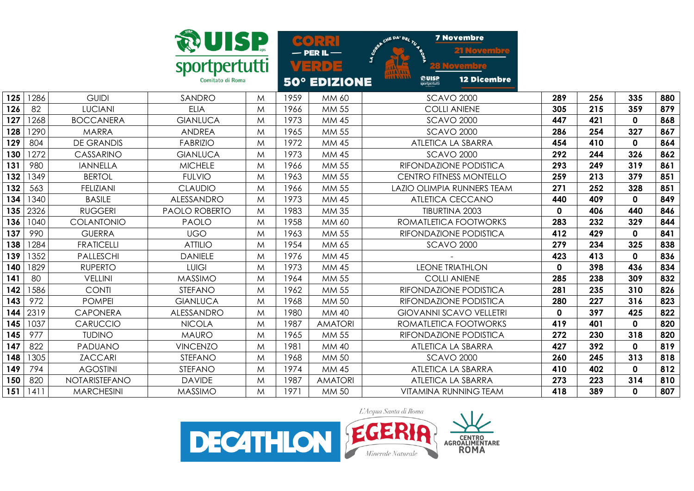|     |      |                   |                      | <b>RUISP</b><br>sportpertutti |      |                       | DCHE DA' DEL TU 4 BOT                                         | <b>7 Novembre</b>              |             |     |             |     |
|-----|------|-------------------|----------------------|-------------------------------|------|-----------------------|---------------------------------------------------------------|--------------------------------|-------------|-----|-------------|-----|
|     |      |                   | Comitato di Roma     |                               |      | VERDE<br>50° EDIZIONE | <b>AALAAAA</b><br>114.11.111<br><b>RUISP</b><br>sportpertutti | <b>12 Dicembre</b>             |             |     |             |     |
| 125 | 1286 | <b>GUIDI</b>      | SANDRO               | M                             | 1959 | MM 60                 |                                                               | <b>SCAVO 2000</b>              | 289         | 256 | 335         | 880 |
| 126 | 82   | <b>LUCIANI</b>    | <b>ELIA</b>          | M                             | 1966 | MM 55                 |                                                               | <b>COLLI ANIENE</b>            | 305         | 215 | 359         | 879 |
| 127 | 1268 | <b>BOCCANERA</b>  | <b>GIANLUCA</b>      | M                             | 1973 | MM 45                 |                                                               | <b>SCAVO 2000</b>              | 447         | 421 | 0           | 868 |
| 128 | 1290 | <b>MARRA</b>      | <b>ANDREA</b>        | M                             | 1965 | MM 55                 |                                                               | <b>SCAVO 2000</b>              | 286         | 254 | 327         | 867 |
| 129 | 804  | <b>DE GRANDIS</b> | <b>FABRIZIO</b>      | M                             | 1972 | MM 45                 |                                                               | ATLETICA LA SBARRA             | 454         | 410 | 0           | 864 |
| 130 | 1272 | CASSARINO         | <b>GIANLUCA</b>      | M                             | 1973 | MM 45                 |                                                               | <b>SCAVO 2000</b>              | 292         | 244 | 326         | 862 |
| 131 | 980  | <b>IANNELLA</b>   | <b>MICHELE</b>       | M                             | 1966 | MM 55                 |                                                               | RIFONDAZIONE PODISTICA         | 293         | 249 | 319         | 861 |
| 132 | 1349 | <b>BERTOL</b>     | <b>FULVIO</b>        | M                             | 1963 | MM 55                 |                                                               | <b>CENTRO FITNESS MONTELLO</b> | 259         | 213 | 379         | 851 |
| 132 | 563  | <b>FELIZIANI</b>  | <b>CLAUDIO</b>       | M                             | 1966 | MM 55                 |                                                               | LAZIO OLIMPIA RUNNERS TEAM     | 271         | 252 | 328         | 851 |
| 134 | 1340 | <b>BASILE</b>     | ALESSANDRO           | M                             | 1973 | MM 45                 |                                                               | ATLETICA CECCANO               | 440         | 409 | $\mathbf 0$ | 849 |
| 135 | 2326 | <b>RUGGERI</b>    | <b>PAOLO ROBERTO</b> | M                             | 1983 | MM 35                 |                                                               | TIBURTINA 2003                 | $\mathbf 0$ | 406 | 440         | 846 |
| 136 | 1040 | COLANTONIO        | <b>PAOLO</b>         | M                             | 1958 | MM 60                 |                                                               | ROMATLETICA FOOTWORKS          | 283         | 232 | 329         | 844 |
| 137 | 990  | <b>GUERRA</b>     | <b>UGO</b>           | M                             | 1963 | MM 55                 |                                                               | RIFONDAZIONE PODISTICA         | 412         | 429 | 0           | 841 |
| 138 | 1284 | <b>FRATICELLI</b> | <b>ATTILIO</b>       | M                             | 1954 | MM 65                 |                                                               | <b>SCAVO 2000</b>              | 279         | 234 | 325         | 838 |
| 139 | 1352 | <b>PALLESCHI</b>  | <b>DANIELE</b>       | M                             | 1976 | MM 45                 |                                                               |                                | 423         | 413 | $\mathbf 0$ | 836 |
| 140 | 1829 | <b>RUPERTO</b>    | <b>LUIGI</b>         | M                             | 1973 | MM 45                 |                                                               | <b>LEONE TRIATHLON</b>         | $\mathbf 0$ | 398 | 436         | 834 |
| 141 | 80   | <b>VELLINI</b>    | <b>MASSIMO</b>       | M                             | 1964 | MM 55                 |                                                               | <b>COLLI ANIENE</b>            | 285         | 238 | 309         | 832 |
| 142 | 1586 | <b>CONTI</b>      | STEFANO              | M                             | 1962 | MM 55                 |                                                               | RIFONDAZIONE PODISTICA         | 281         | 235 | 310         | 826 |
| 143 | 972  | <b>POMPEI</b>     | <b>GIANLUCA</b>      | M                             | 1968 | MM 50                 |                                                               | RIFONDAZIONE PODISTICA         | 280         | 227 | 316         | 823 |
| 144 | 2319 | <b>CAPONERA</b>   | ALESSANDRO           | M                             | 1980 | MM 40                 |                                                               | <b>GIOVANNI SCAVO VELLETRI</b> | $\mathbf 0$ | 397 | 425         | 822 |
| 145 | 1037 | CARUCCIO          | <b>NICOLA</b>        | M                             | 1987 | <b>AMATORI</b>        |                                                               | ROMATLETICA FOOTWORKS          | 419         | 401 | 0           | 820 |
| 145 | 977  | <b>TUDINO</b>     | <b>MAURO</b>         | M                             | 1965 | MM 55                 |                                                               | RIFONDAZIONE PODISTICA         | 272         | 230 | 318         | 820 |
| 147 | 822  | PADUANO           | <b>VINCENZO</b>      | M                             | 1981 | MM 40                 |                                                               | ATLETICA LA SBARRA             | 427         | 392 | $\mathbf 0$ | 819 |
| 148 | 1305 | <b>ZACCARI</b>    | STEFANO              | M                             | 1968 | MM 50                 |                                                               | <b>SCAVO 2000</b>              | 260         | 245 | 313         | 818 |
| 149 | 794  | <b>AGOSTINI</b>   | STEFANO              | M                             | 1974 | MM 45                 |                                                               | ATLETICA LA SBARRA             | 410         | 402 | $\mathbf 0$ | 812 |
| 150 | 820  | NOTARISTEFANO     | <b>DAVIDE</b>        | M                             | 1987 | <b>AMATORI</b>        |                                                               | ATLETICA LA SBARRA             | 273         | 223 | 314         | 810 |
| 151 | 1411 | <b>MARCHESINI</b> | <b>MASSIMO</b>       | M                             | 1971 | MM 50                 |                                                               | VITAMINA RUNNING TEAM          | 418         | 389 | $\mathbf 0$ | 807 |

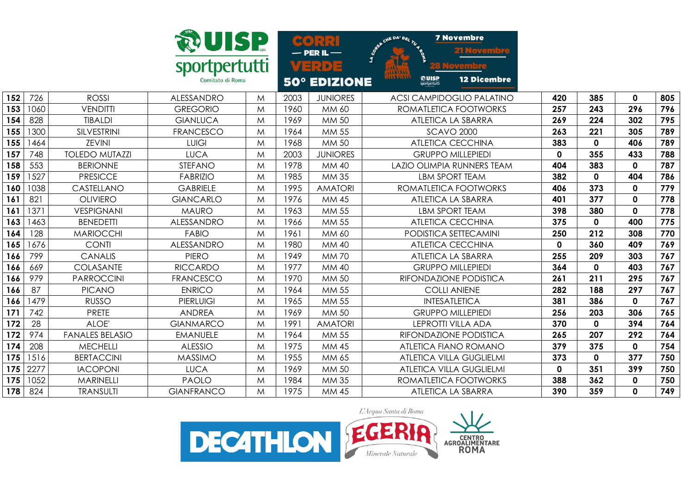|     |      |                        | <b>WUISP</b>      |   | $\infty$ $\bullet$ ) | R <sup>2</sup><br>$-$ PER IL $-$ | <b>7 Novembre</b><br>CHE DA' DEL TU 4 RO                |              |     |             |     |
|-----|------|------------------------|-------------------|---|----------------------|----------------------------------|---------------------------------------------------------|--------------|-----|-------------|-----|
|     |      |                        | sportpertutti     |   |                      | $Y = 307$                        | J.<br><b>HA/ALL</b>                                     |              |     |             |     |
|     |      |                        | Comitato di Roma  |   |                      | <b>50° EDIZIONE</b>              | 1141111<br>@UISP<br><b>12 Dicembre</b><br>sportpertutti |              |     |             |     |
| 152 | 726  | <b>ROSSI</b>           | ALESSANDRO        | M | 2003                 | <b>JUNIORES</b>                  | <b>ACSI CAMPIDOGLIO PALATINO</b>                        | 420          | 385 | $\mathbf 0$ | 805 |
| 153 | 1060 | <b>VENDITII</b>        | <b>GREGORIO</b>   | M | 1960                 | MM 60                            | ROMATLETICA FOOTWORKS                                   | 257          | 243 | 296         | 796 |
| 154 | 828  | <b>TIBALDI</b>         | <b>GIANLUCA</b>   | M | 1969                 | MM 50                            | ATLETICA LA SBARRA                                      | 269          | 224 | 302         | 795 |
| 155 | 1300 | SILVESTRINI            | <b>FRANCESCO</b>  | M | 1964                 | MM 55                            | <b>SCAVO 2000</b>                                       | 263          | 221 | 305         | 789 |
| 155 | 1464 | <b>ZEVINI</b>          | <b>LUIGI</b>      | M | 1968                 | MM 50                            | <b>ATLETICA CECCHINA</b>                                | 383          | 0   | 406         | 789 |
| 157 | 748  | <b>TOLEDO MUTAZZI</b>  | <b>LUCA</b>       | M | 2003                 | <b>JUNIORES</b>                  | <b>GRUPPO MILLEPIEDI</b>                                | $\mathbf 0$  | 355 | 433         | 788 |
| 158 | 553  | <b>BERIONNE</b>        | STEFANO           | M | 1978                 | MM 40                            | LAZIO OLIMPIA RUNNERS TEAM                              | 404          | 383 | 0           | 787 |
| 159 | 1527 | <b>PRESICCE</b>        | <b>FABRIZIO</b>   | M | 1985                 | MM 35                            | <b>LBM SPORT TEAM</b>                                   | 382          | 0   | 404         | 786 |
| 160 | 1038 | CASTELLANO             | <b>GABRIELE</b>   | M | 1995                 | <b>AMATORI</b>                   | ROMATLETICA FOOTWORKS                                   | 406          | 373 | $\mathbf 0$ | 779 |
| 161 | 821  | <b>OLIVIERO</b>        | <b>GIANCARLO</b>  | M | 1976                 | MM 45                            | ATLETICA LA SBARRA                                      | 401          | 377 | $\mathbf 0$ | 778 |
| 161 | 1371 | <b>VESPIGNANI</b>      | <b>MAURO</b>      | M | 1963                 | MM 55                            | <b>LBM SPORT TEAM</b>                                   | 398          | 380 | 0           | 778 |
| 163 | 1463 | <b>BENEDETTI</b>       | ALESSANDRO        | M | 1966                 | MM 55                            | <b>ATLETICA CECCHINA</b>                                | 375          | 0   | 400         | 775 |
| 164 | 128  | <b>MARIOCCHI</b>       | <b>FABIO</b>      | M | 1961                 | MM 60                            | PODISTICA SETTECAMINI                                   | 250          | 212 | 308         | 770 |
| 165 | 1676 | <b>CONTI</b>           | ALESSANDRO        | M | 1980                 | MM 40                            | <b>ATLETICA CECCHINA</b>                                | $\mathbf 0$  | 360 | 409         | 769 |
| 166 | 799  | <b>CANALIS</b>         | <b>PIERO</b>      | M | 1949                 | <b>MM70</b>                      | ATLETICA LA SBARRA                                      | 255          | 209 | 303         | 767 |
| 166 | 669  | COLASANTE              | <b>RICCARDO</b>   | M | 1977                 | MM 40                            | <b>GRUPPO MILLEPIEDI</b>                                | 364          | 0   | 403         | 767 |
| 166 | 979  | <b>PARROCCINI</b>      | <b>FRANCESCO</b>  | M | 1970                 | MM 50                            | RIFONDAZIONE PODISTICA                                  | 261          | 211 | 295         | 767 |
| 166 | 87   | <b>PICANO</b>          | <b>ENRICO</b>     | M | 1964                 | MM 55                            | <b>COLLI ANIENE</b>                                     | 282          | 188 | 297         | 767 |
| 166 | 1479 | <b>RUSSO</b>           | <b>PIERLUIGI</b>  | M | 1965                 | MM 55                            | <b>INTESATLETICA</b>                                    | 381          | 386 | $\mathbf 0$ | 767 |
| 171 | 742  | <b>PRETE</b>           | <b>ANDREA</b>     | M | 1969                 | MM 50                            | <b>GRUPPO MILLEPIEDI</b>                                | 256          | 203 | 306         | 765 |
| 172 | 28   | ALOE'                  | <b>GIANMARCO</b>  | M | 1991                 | <b>AMATORI</b>                   | <b>LEPROTTI VILLA ADA</b>                               | 370          | 0   | 394         | 764 |
| 172 | 974  | <b>FANALES BELASIO</b> | <b>EMANUELE</b>   | M | 1964                 | MM 55                            | RIFONDAZIONE PODISTICA                                  | 265          | 207 | 292         | 764 |
| 174 | 208  | <b>MECHELLI</b>        | <b>ALESSIO</b>    | M | 1975                 | <b>MM45</b>                      | <b>ATLETICA FIANO ROMANO</b>                            | 379          | 375 | $\mathbf 0$ | 754 |
| 175 | 1516 | <b>BERTACCINI</b>      | <b>MASSIMO</b>    | M | 1955                 | MM 65                            | <b>ATLETICA VILLA GUGLIELMI</b>                         | 373          | 0   | 377         | 750 |
| 175 | 2277 | <b>IACOPONI</b>        | <b>LUCA</b>       | M | 1969                 | MM 50                            | ATLETICA VILLA GUGLIELMI                                | $\mathbf{0}$ | 351 | 399         | 750 |
| 175 | 1052 | <b>MARINELLI</b>       | <b>PAOLO</b>      | M | 1984                 | MM 35                            | ROMATLETICA FOOTWORKS                                   | 388          | 362 | 0           | 750 |
| 178 | 824  | <b>TRANSULTI</b>       | <b>GIANFRANCO</b> | M | 1975                 | <b>MM45</b>                      | ATLETICA LA SBARRA                                      | 390          | 359 | 0           | 749 |

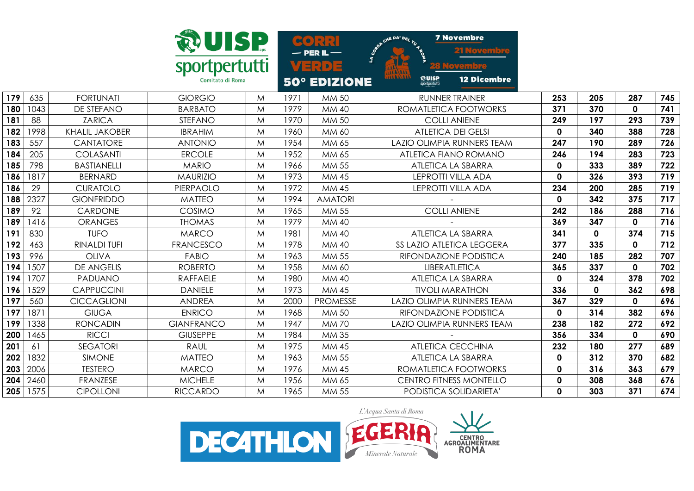|     |      |                       | <b>RUISP</b>      |   |      | 3033                      | CHE DA' DEL TU 4 B             |                        | <b>7 Novembre</b><br>21 Novembre  |             |             |             |     |
|-----|------|-----------------------|-------------------|---|------|---------------------------|--------------------------------|------------------------|-----------------------------------|-------------|-------------|-------------|-----|
|     |      |                       | sportpertutti     |   |      | $-$ PER IL $-$<br>$Y = ?$ |                                |                        |                                   |             |             |             |     |
|     |      |                       | Comitato di Roma  |   |      | <b>50° EDIZIONE</b>       | <b>HA/ALL</b><br><b>TIVYTI</b> | 森UISP<br>sportpertutti | <b>12 Dicembre</b>                |             |             |             |     |
| 179 | 635  | <b>FORTUNATI</b>      | <b>GIORGIO</b>    | M | 1971 | MM 50                     |                                | <b>RUNNER TRAINER</b>  |                                   | 253         | 205         | 287         | 745 |
| 180 | 1043 | <b>DE STEFANO</b>     | <b>BARBATO</b>    | M | 1979 | MM 40                     |                                |                        | ROMATLETICA FOOTWORKS             | 371         | 370         | 0           | 741 |
| 181 | 88   | <b>ZARICA</b>         | STEFANO           | M | 1970 | MM 50                     |                                | <b>COLLI ANIENE</b>    |                                   | 249         | 197         | 293         | 739 |
| 182 | 1998 | <b>KHALIL JAKOBER</b> | <b>IBRAHIM</b>    | M | 1960 | MM 60                     |                                |                        | <b>ATLETICA DEI GELSI</b>         | $\mathbf 0$ | 340         | 388         | 728 |
| 183 | 557  | <b>CANTATORE</b>      | <b>ANTONIO</b>    | M | 1954 | MM 65                     |                                |                        | <b>LAZIO OLIMPIA RUNNERS TEAM</b> | 247         | 190         | 289         | 726 |
| 184 | 205  | <b>COLASANTI</b>      | <b>ERCOLE</b>     | M | 1952 | MM 65                     |                                |                        | <b>ATLETICA FIANO ROMANO</b>      | 246         | 194         | 283         | 723 |
| 185 | 798  | <b>BASTIANELLI</b>    | <b>MARIO</b>      | M | 1966 | MM 55                     |                                |                        | ATLETICA LA SBARRA                | $\mathbf 0$ | 333         | 389         | 722 |
| 186 | 1817 | <b>BERNARD</b>        | <b>MAURIZIO</b>   | M | 1973 | MM 45                     |                                |                        | <b>LEPROTTI VILLA ADA</b>         | 0           | 326         | 393         | 719 |
| 186 | 29   | <b>CURATOLO</b>       | PIERPAOLO         | M | 1972 | MM 45                     |                                |                        | <b>LEPROTTI VILLA ADA</b>         | 234         | 200         | 285         | 719 |
| 188 | 2327 | <b>GIONFRIDDO</b>     | <b>MATTEO</b>     | M | 1994 | <b>AMATORI</b>            |                                |                        |                                   | $\mathbf 0$ | 342         | 375         | 717 |
| 189 | 92   | CARDONE               | COSIMO            | M | 1965 | MM 55                     |                                | <b>COLLI ANIENE</b>    |                                   | 242         | 186         | 288         | 716 |
| 189 | 1416 | <b>ORANGES</b>        | <b>THOMAS</b>     | M | 1979 | MM 40                     |                                |                        |                                   | 369         | 347         | $\mathbf 0$ | 716 |
| 191 | 830  | <b>TUFO</b>           | <b>MARCO</b>      | M | 1981 | MM 40                     |                                |                        | ATLETICA LA SBARRA                | 341         | 0           | 374         | 715 |
| 192 | 463  | <b>RINALDI TUFI</b>   | <b>FRANCESCO</b>  | M | 1978 | MM 40                     |                                |                        | SS LAZIO ATLETICA LEGGERA         | 377         | 335         | 0           | 712 |
| 193 | 996  | <b>OLIVA</b>          | <b>FABIO</b>      | M | 1963 | MM 55                     |                                |                        | RIFONDAZIONE PODISTICA            | 240         | 185         | 282         | 707 |
| 194 | 1507 | <b>DE ANGELIS</b>     | <b>ROBERTO</b>    | M | 1958 | MM 60                     |                                | <b>LIBERATLETICA</b>   |                                   | 365         | 337         | $\mathbf 0$ | 702 |
| 194 | 1707 | PADUANO               | <b>RAFFAELE</b>   | M | 1980 | MM 40                     |                                |                        | ATLETICA LA SBARRA                | $\mathbf 0$ | 324         | 378         | 702 |
| 196 | 1529 | <b>CAPPUCCINI</b>     | <b>DANIELE</b>    | M | 1973 | MM 45                     |                                |                        | <b>TIVOLI MARATHON</b>            | 336         | $\mathbf 0$ | 362         | 698 |
| 197 | 560  | <b>CICCAGLIONI</b>    | <b>ANDREA</b>     | M | 2000 | <b>PROMESSE</b>           |                                |                        | <b>LAZIO OLIMPIA RUNNERS TEAM</b> | 367         | 329         | 0           | 696 |
| 197 | 1871 | <b>GIUGA</b>          | <b>ENRICO</b>     | M | 1968 | MM 50                     |                                |                        | RIFONDAZIONE PODISTICA            | 0           | 314         | 382         | 696 |
| 199 | 1338 | <b>RONCADIN</b>       | <b>GIANFRANCO</b> | M | 1947 | <b>MM70</b>               |                                |                        | LAZIO OLIMPIA RUNNERS TEAM        | 238         | 182         | 272         | 692 |
| 200 | 1465 | <b>RICCI</b>          | <b>GIUSEPPE</b>   | M | 1984 | MM 35                     |                                |                        |                                   | 356         | 334         | 0           | 690 |
| 201 | 61   | <b>SEGATORI</b>       | <b>RAUL</b>       | M | 1975 | MM 45                     |                                |                        | <b>ATLETICA CECCHINA</b>          | 232         | 180         | 277         | 689 |
| 202 | 1832 | <b>SIMONE</b>         | <b>MATTEO</b>     | M | 1963 | MM 55                     |                                |                        | ATLETICA LA SBARRA                | 0           | 312         | 370         | 682 |
| 203 | 2006 | <b>TESTERO</b>        | <b>MARCO</b>      | M | 1976 | MM 45                     |                                |                        | ROMATLETICA FOOTWORKS             | 0           | 316         | 363         | 679 |
| 204 | 2460 | <b>FRANZESE</b>       | <b>MICHELE</b>    | M | 1956 | MM 65                     |                                |                        | <b>CENTRO FITNESS MONTELLO</b>    | 0           | 308         | 368         | 676 |
| 205 | 1575 | <b>CIPOLLONI</b>      | <b>RICCARDO</b>   | M | 1965 | MM 55                     |                                |                        | PODISTICA SOLIDARIETA'            | $\mathbf 0$ | 303         | 371         | 674 |

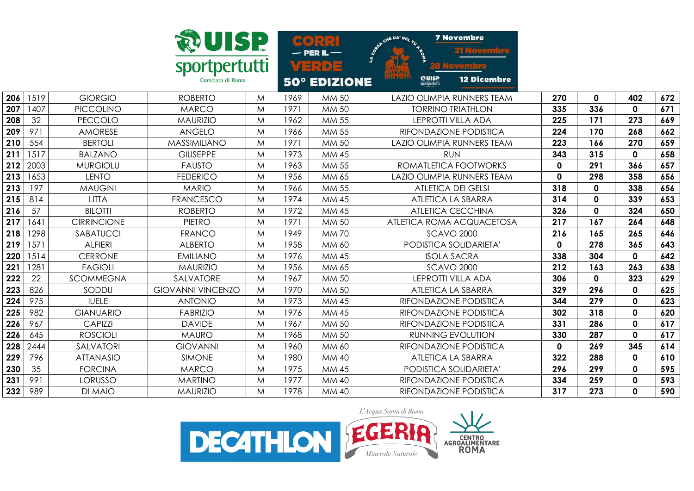|     |      |                    | <b>REP UISP</b><br>sportpertutti |   | $\infty$ | $-$ PER IL $-$      |                | CHE DA' DEL TU 4 BA    | <b>7 Novembre</b>                 |             |             |              |     |
|-----|------|--------------------|----------------------------------|---|----------|---------------------|----------------|------------------------|-----------------------------------|-------------|-------------|--------------|-----|
|     |      |                    |                                  |   |          | <b>74 국 : 신 이 국</b> | <b>AAA AAA</b> |                        |                                   |             |             |              |     |
|     |      |                    | Comitato di Roma                 |   |          | <b>50° EDIZIONE</b> | <b>TANAM</b>   | @UISP<br>sportpertutti | <b>12 Dicembre</b>                |             |             |              |     |
| 206 | 1519 | <b>GIORGIO</b>     | <b>ROBERTO</b>                   | M | 1969     | MM 50               |                |                        | LAZIO OLIMPIA RUNNERS TEAM        | 270         | $\mathbf 0$ | 402          | 672 |
| 207 | 1407 | <b>PICCOLINO</b>   | <b>MARCO</b>                     | M | 1971     | MM 50               |                |                        | <b>TORRINO TRIATHLON</b>          | 335         | 336         | $\mathbf{0}$ | 671 |
| 208 | 32   | PECCOLO            | <b>MAURIZIO</b>                  | M | 1962     | MM 55               |                |                        | <b>LEPROTTI VILLA ADA</b>         | 225         | 171         | 273          | 669 |
| 209 | 971  | <b>AMORESE</b>     | ANGELO                           | M | 1966     | MM 55               |                |                        | RIFONDAZIONE PODISTICA            | 224         | 170         | 268          | 662 |
| 210 | 554  | <b>BERTOLI</b>     | MASSIMILIANO                     | M | 1971     | MM 50               |                |                        | LAZIO OLIMPIA RUNNERS TEAM        | 223         | 166         | 270          | 659 |
| 211 | 1517 | <b>BALZANO</b>     | <b>GIUSEPPE</b>                  | M | 1973     | MM 45               |                |                        | <b>RUN</b>                        | 343         | 315         | 0            | 658 |
| 212 | 2003 | <b>MURGIOLU</b>    | <b>FAUSTO</b>                    | M | 1963     | MM 55               |                |                        | ROMATLETICA FOOTWORKS             | $\mathbf 0$ | 291         | 366          | 657 |
| 213 | 1653 | <b>LENTO</b>       | <b>FEDERICO</b>                  | M | 1956     | MM 65               |                |                        | <b>LAZIO OLIMPIA RUNNERS TEAM</b> | $\mathbf 0$ | 298         | 358          | 656 |
| 213 | 197  | <b>MAUGINI</b>     | <b>MARIO</b>                     | M | 1966     | MM 55               |                |                        | <b>ATLETICA DEI GELSI</b>         | 318         | $\mathbf 0$ | 338          | 656 |
| 215 | 814  | <b>LITTA</b>       | <b>FRANCESCO</b>                 | M | 1974     | MM 45               |                |                        | ATLETICA LA SBARRA                | 314         | $\mathbf 0$ | 339          | 653 |
| 216 | 57   | <b>BILOTTI</b>     | <b>ROBERTO</b>                   | M | 1972     | MM 45               |                |                        | <b>ATLETICA CECCHINA</b>          | 326         | $\mathbf 0$ | 324          | 650 |
| 217 | 1641 | <b>CIRRINCIONE</b> | PIETRO                           | M | 1971     | MM 50               |                |                        | ATLETICA ROMA ACQUACETOSA         | 217         | 167         | 264          | 648 |
| 218 | 1298 | SABATUCCI          | <b>FRANCO</b>                    | M | 1949     | <b>MM70</b>         |                |                        | <b>SCAVO 2000</b>                 | 216         | 165         | 265          | 646 |
| 219 | 1571 | <b>ALFIERI</b>     | <b>ALBERTO</b>                   | M | 1958     | MM 60               |                |                        | PODISTICA SOLIDARIETA'            | $\mathbf 0$ | 278         | 365          | 643 |
| 220 | 1514 | <b>CERRONE</b>     | <b>EMILIANO</b>                  | M | 1976     | MM 45               |                |                        | <b>ISOLA SACRA</b>                | 338         | 304         | $\mathbf 0$  | 642 |
| 221 | 1281 | <b>FAGIOLI</b>     | <b>MAURIZIO</b>                  | M | 1956     | MM 65               |                |                        | <b>SCAVO 2000</b>                 | 212         | 163         | 263          | 638 |
| 222 | 22   | <b>SCOMMEGNA</b>   | SALVATORE                        | M | 1967     | MM 50               |                |                        | <b>LEPROTTI VILLA ADA</b>         | 306         | $\mathbf 0$ | 323          | 629 |
| 223 | 826  | SODDU              | <b>GIOVANNI VINCENZO</b>         | M | 1970     | MM 50               |                |                        | ATLETICA LA SBARRA                | 329         | 296         | 0            | 625 |
| 224 | 975  | <b>IUELE</b>       | <b>ANTONIO</b>                   | M | 1973     | <b>MM 45</b>        |                |                        | RIFONDAZIONE PODISTICA            | 344         | 279         | 0            | 623 |
| 225 | 982  | <b>GIANUARIO</b>   | <b>FABRIZIO</b>                  | M | 1976     | MM 45               |                |                        | RIFONDAZIONE PODISTICA            | 302         | 318         | $\mathbf 0$  | 620 |
| 226 | 967  | <b>CAPIZZI</b>     | <b>DAVIDE</b>                    | M | 1967     | MM 50               |                |                        | RIFONDAZIONE PODISTICA            | 331         | 286         | $\mathbf 0$  | 617 |
| 226 | 645  | <b>ROSCIOLI</b>    | <b>MAURO</b>                     | M | 1968     | MM 50               |                |                        | <b>RUNNING EVOLUTION</b>          | 330         | 287         | 0            | 617 |
| 228 | 2444 | SALVATORI          | <b>GIOVANNI</b>                  | M | 1960     | MM 60               |                |                        | RIFONDAZIONE PODISTICA            | $\mathbf 0$ | 269         | 345          | 614 |
| 229 | 796  | <b>ATTANASIO</b>   | <b>SIMONE</b>                    | M | 1980     | MM 40               |                |                        | ATLETICA LA SBARRA                | 322         | 288         | $\mathbf 0$  | 610 |
| 230 | 35   | <b>FORCINA</b>     | <b>MARCO</b>                     | M | 1975     | MM 45               |                |                        | PODISTICA SOLIDARIETA'            | 296         | 299         | 0            | 595 |
| 231 | 991  | LORUSSO            | <b>MARTINO</b>                   | M | 1977     | MM 40               |                |                        | RIFONDAZIONE PODISTICA            | 334         | 259         | 0            | 593 |
| 232 | 989  | <b>DI MAIO</b>     | <b>MAURIZIO</b>                  | M | 1978     | MM 40               |                |                        | RIFONDAZIONE PODISTICA            | 317         | 273         | $\mathbf{0}$ | 590 |

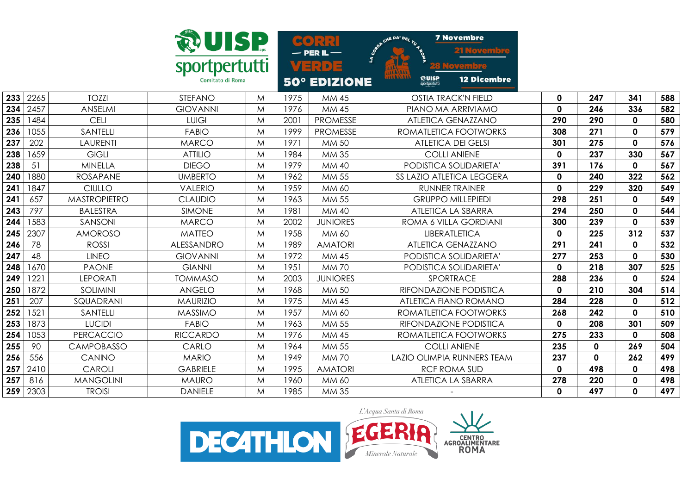|     |      |                     | <b>RUISP</b><br>sportpertutti<br>Comitato di Roma |   |      | 60.77<br>$-$ PER IL $-$<br>VERDE<br>50° EDIZIONE | <b>7 Novembre</b><br>CHE DA' DEL TU 4 BOS<br><b>AAAAAAA</b><br><b>17877871</b><br>熱UISP<br><b>12 Dicembre</b><br>sportpertutti |              |             |             |     |
|-----|------|---------------------|---------------------------------------------------|---|------|--------------------------------------------------|--------------------------------------------------------------------------------------------------------------------------------|--------------|-------------|-------------|-----|
| 233 | 2265 | <b>TOZZI</b>        | <b>STEFANO</b>                                    | M | 1975 | MM 45                                            | <b>OSTIA TRACK'N FIELD</b>                                                                                                     | $\mathbf 0$  | 247         | 341         | 588 |
| 234 | 2457 | ANSELMI             | <b>GIOVANNI</b>                                   | M | 1976 | <b>MM 45</b>                                     | PIANO MA ARRIVIAMO                                                                                                             | $\mathbf 0$  | 246         | 336         | 582 |
| 235 | 1484 | <b>CELI</b>         | <b>LUIGI</b>                                      | M | 2001 | <b>PROMESSE</b>                                  | ATLETICA GENAZZANO                                                                                                             | 290          | 290         | 0           | 580 |
| 236 | 1055 | SANTELLI            | <b>FABIO</b>                                      | M | 1999 | <b>PROMESSE</b>                                  | ROMATLETICA FOOTWORKS                                                                                                          | 308          | 271         | 0           | 579 |
| 237 | 202  | LAURENTI            | <b>MARCO</b>                                      | M | 1971 | MM 50                                            | <b>ATLETICA DEI GELSI</b>                                                                                                      | 301          | 275         | 0           | 576 |
| 238 | 1659 | <b>GIGLI</b>        | <b>ATTILIO</b>                                    | M | 1984 | MM 35                                            | <b>COLLI ANIENE</b>                                                                                                            | $\mathbf 0$  | 237         | 330         | 567 |
| 238 | 51   | <b>MINELLA</b>      | <b>DIEGO</b>                                      | M | 1979 | MM 40                                            | PODISTICA SOLIDARIETA'                                                                                                         | 391          | 176         | 0           | 567 |
| 240 | 1880 | <b>ROSAPANE</b>     | <b>UMBERTO</b>                                    | M | 1962 | MM 55                                            | SS LAZIO ATLETICA LEGGERA                                                                                                      | $\mathbf 0$  | 240         | 322         | 562 |
| 241 | 1847 | <b>CIULLO</b>       | <b>VALERIO</b>                                    | M | 1959 | MM 60                                            | <b>RUNNER TRAINER</b>                                                                                                          | $\mathbf 0$  | 229         | 320         | 549 |
| 241 | 657  | <b>MASTROPIETRO</b> | <b>CLAUDIO</b>                                    | M | 1963 | MM 55                                            | <b>GRUPPO MILLEPIEDI</b>                                                                                                       | 298          | 251         | $\mathbf 0$ | 549 |
| 243 | 797  | <b>BALESTRA</b>     | <b>SIMONE</b>                                     | M | 1981 | MM 40                                            | ATLETICA LA SBARRA                                                                                                             | 294          | 250         | $\mathbf 0$ | 544 |
| 244 | 1583 | SANSONI             | <b>MARCO</b>                                      | M | 2002 | <b>JUNIORES</b>                                  | ROMA 6 VILLA GORDIANI                                                                                                          | 300          | 239         | $\mathbf 0$ | 539 |
| 245 | 2307 | AMOROSO             | <b>MATTEO</b>                                     | M | 1958 | MM 60                                            | LIBERATLETICA                                                                                                                  | $\mathbf 0$  | 225         | 312         | 537 |
| 246 | 78   | <b>ROSSI</b>        | <b>ALESSANDRO</b>                                 | M | 1989 | <b>AMATORI</b>                                   | ATLETICA GENAZZANO                                                                                                             | 291          | 241         | $\mathbf 0$ | 532 |
| 247 | 48   | <b>LINEO</b>        | <b>GIOVANNI</b>                                   | M | 1972 | MM 45                                            | PODISTICA SOLIDARIETA'                                                                                                         | 277          | 253         | 0           | 530 |
| 248 | 1670 | <b>PAONE</b>        | <b>GIANNI</b>                                     | M | 1951 | <b>MM70</b>                                      | PODISTICA SOLIDARIETA'                                                                                                         | $\mathbf 0$  | 218         | 307         | 525 |
| 249 | 1221 | <b>LEPORATI</b>     | <b>TOMMASO</b>                                    | M | 2003 | <b>JUNIORES</b>                                  | SPORTRACE                                                                                                                      | 288          | 236         | 0           | 524 |
| 250 | 1872 | <b>SOLIMINI</b>     | <b>ANGELO</b>                                     | M | 1968 | MM 50                                            | RIFONDAZIONE PODISTICA                                                                                                         | $\mathbf 0$  | 210         | 304         | 514 |
| 251 | 207  | SQUADRANI           | <b>MAURIZIO</b>                                   | M | 1975 | MM 45                                            | <b>ATLETICA FIANO ROMANO</b>                                                                                                   | 284          | 228         | 0           | 512 |
| 252 | 1521 | SANTELLI            | <b>MASSIMO</b>                                    | M | 1957 | MM 60                                            | ROMATLETICA FOOTWORKS                                                                                                          | 268          | 242         | $\mathbf 0$ | 510 |
| 253 | 1873 | <b>LUCIDI</b>       | <b>FABIO</b>                                      | M | 1963 | MM 55                                            | RIFONDAZIONE PODISTICA                                                                                                         | $\mathbf 0$  | 208         | 301         | 509 |
| 254 | 1053 | <b>PERCACCIO</b>    | <b>RICCARDO</b>                                   | M | 1976 | MM 45                                            | ROMATLETICA FOOTWORKS                                                                                                          | 275          | 233         | 0           | 508 |
| 255 | 90   | <b>CAMPOBASSO</b>   | CARLO                                             | M | 1964 | MM 55                                            | <b>COLLI ANIENE</b>                                                                                                            | 235          | $\mathbf 0$ | 269         | 504 |
| 256 | 556  | CANINO              | <b>MARIO</b>                                      | M | 1949 | <b>MM70</b>                                      | LAZIO OLIMPIA RUNNERS TEAM                                                                                                     | 237          | 0           | 262         | 499 |
| 257 | 2410 | <b>CAROLI</b>       | <b>GABRIELE</b>                                   | M | 1995 | <b>AMATORI</b>                                   | <b>RCF ROMA SUD</b>                                                                                                            | $\mathbf 0$  | 498         | 0           | 498 |
| 257 | 816  | <b>MANGOLINI</b>    | <b>MAURO</b>                                      | M | 1960 | MM 60                                            | ATLETICA LA SBARRA                                                                                                             | 278          | 220         | $\mathbf 0$ | 498 |
| 259 | 2303 | <b>TROISI</b>       | <b>DANIELE</b>                                    | M | 1985 | MM 35                                            |                                                                                                                                | $\mathbf{0}$ | 497         | 0           | 497 |

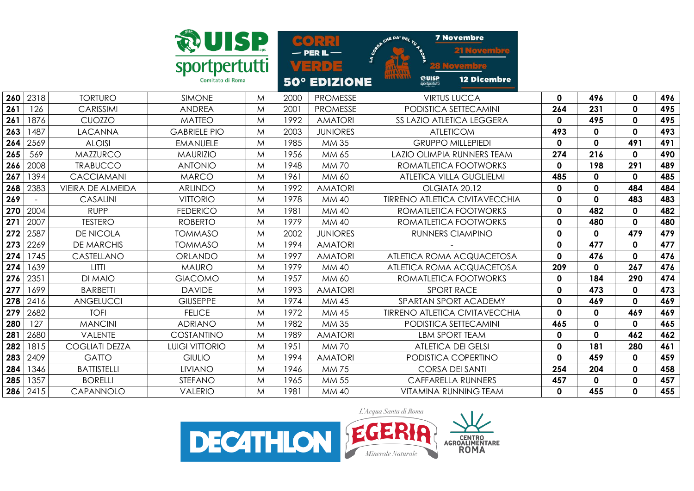|     |      |                          | <b>DUISP</b>                      | $0$ | $PERIL -$ | <b>7 Novembre</b><br>CHE DA' DEL TU 4 ROY |                                                                                      |             |              |              |     |
|-----|------|--------------------------|-----------------------------------|-----|-----------|-------------------------------------------|--------------------------------------------------------------------------------------|-------------|--------------|--------------|-----|
|     |      |                          | sportpertutti<br>Comitato di Roma |     |           | 크리아크<br><b>50° EDIZIONE</b>               | <b>HA/ALL</b><br><b>HAAAM</b><br><b>RUISP</b><br><b>12 Dicembre</b><br>sportpertutti |             |              |              |     |
| 260 | 2318 | <b>TORTURO</b>           | <b>SIMONE</b>                     | M   | 2000      | <b>PROMESSE</b>                           | <b>VIRTUS LUCCA</b>                                                                  | 0           | 496          | 0            | 496 |
| 261 | 126  | CARISSIMI                | <b>ANDREA</b>                     | M   | 2001      | <b>PROMESSE</b>                           | PODISTICA SETTECAMINI                                                                | 264         | 231          | 0            | 495 |
| 261 | 1876 | CUOZZO                   | <b>MATTEO</b>                     | M   | 1992      | <b>AMATORI</b>                            | SS LAZIO ATLETICA LEGGERA                                                            | $\mathbf 0$ | 495          | $\mathbf 0$  | 495 |
| 263 | 1487 | <b>LACANNA</b>           | <b>GABRIELE PIO</b>               | M   | 2003      | <b>JUNIORES</b>                           | <b>ATLETICOM</b>                                                                     | 493         | $\mathbf 0$  | $\mathbf 0$  | 493 |
| 264 | 2569 | <b>ALOISI</b>            | <b>EMANUELE</b>                   | M   | 1985      | MM 35                                     | <b>GRUPPO MILLEPIEDI</b>                                                             | $\mathbf 0$ | $\mathbf 0$  | 491          | 491 |
| 265 | 569  | <b>MAZZURCO</b>          | <b>MAURIZIO</b>                   | M   | 1956      | MM 65                                     | LAZIO OLIMPIA RUNNERS TEAM                                                           | 274         | 216          | $\mathbf 0$  | 490 |
| 266 | 2008 | <b>TRABUCCO</b>          | <b>ANTONIO</b>                    | M   | 1948      | <b>MM70</b>                               | ROMATLETICA FOOTWORKS                                                                | 0           | 198          | 291          | 489 |
| 267 | 1394 | <b>CACCIAMANI</b>        | <b>MARCO</b>                      | M   | 1961      | MM 60                                     | ATLETICA VILLA GUGLIELMI                                                             | 485         | $\mathbf 0$  | $\mathbf 0$  | 485 |
| 268 | 2383 | <b>VIEIRA DE ALMEIDA</b> | <b>ARLINDO</b>                    | M   | 1992      | <b>AMATORI</b>                            | OLGIATA 20.12                                                                        | $\mathbf 0$ | $\mathbf 0$  | 484          | 484 |
| 269 |      | <b>CASALINI</b>          | <b>VITTORIO</b>                   | M   | 1978      | MM 40                                     | <b>TIRRENO ATLETICA CIVITAVECCHIA</b>                                                | $\mathbf 0$ | $\mathbf 0$  | 483          | 483 |
| 270 | 2004 | <b>RUPP</b>              | <b>FEDERICO</b>                   | M   | 1981      | MM 40                                     | ROMATLETICA FOOTWORKS                                                                | 0           | 482          | $\mathbf 0$  | 482 |
| 271 | 2007 | <b>TESTERO</b>           | <b>ROBERTO</b>                    | M   | 1979      | MM 40                                     | ROMATLETICA FOOTWORKS                                                                | 0           | 480          | $\mathbf 0$  | 480 |
| 272 | 2587 | <b>DE NICOLA</b>         | <b>TOMMASO</b>                    | M   | 2002      | <b>JUNIORES</b>                           | <b>RUNNERS CIAMPINO</b>                                                              | $\mathbf 0$ | 0            | 479          | 479 |
| 273 | 2269 | <b>DE MARCHIS</b>        | <b>TOMMASO</b>                    | M   | 1994      | <b>AMATORI</b>                            |                                                                                      | $\mathbf 0$ | 477          | $\mathbf 0$  | 477 |
| 274 | 1745 | CASTELLANO               | ORLANDO                           | M   | 1997      | <b>AMATORI</b>                            | ATLETICA ROMA ACQUACETOSA                                                            | 0           | 476          | $\mathbf 0$  | 476 |
| 274 | 1639 | LITTI                    | <b>MAURO</b>                      | M   | 1979      | MM 40                                     | ATLETICA ROMA ACQUACETOSA                                                            | 209         | $\mathbf 0$  | 267          | 476 |
| 276 | 2351 | <b>DI MAIO</b>           | <b>GIACOMO</b>                    | M   | 1957      | MM 60                                     | ROMATLETICA FOOTWORKS                                                                | $\mathbf 0$ | 184          | 290          | 474 |
| 277 | 1699 | <b>BARBETTI</b>          | <b>DAVIDE</b>                     | M   | 1993      | <b>AMATORI</b>                            | <b>SPORT RACE</b>                                                                    | $\mathbf 0$ | 473          | $\mathbf{0}$ | 473 |
| 278 | 2416 | ANGELUCCI                | <b>GIUSEPPE</b>                   | M   | 1974      | MM 45                                     | SPARTAN SPORT ACADEMY                                                                | $\mathbf 0$ | 469          | $\mathbf{0}$ | 469 |
| 279 | 2682 | <b>TOFI</b>              | <b>FELICE</b>                     | M   | 1972      | MM 45                                     | <b>TIRRENO ATLETICA CIVITAVECCHIA</b>                                                | 0           | $\mathbf 0$  | 469          | 469 |
| 280 | 127  | <b>MANCINI</b>           | <b>ADRIANO</b>                    | M   | 1982      | MM 35                                     | PODISTICA SETTECAMINI                                                                | 465         | $\mathbf 0$  | $\mathbf 0$  | 465 |
| 281 | 2680 | <b>VALENTE</b>           | COSTANTINO                        | M   | 1989      | <b>AMATORI</b>                            | <b>LBM SPORT TEAM</b>                                                                | 0           | $\mathbf 0$  | 462          | 462 |
| 282 | 1815 | <b>COGLIATI DEZZA</b>    | <b>LUIGI VITTORIO</b>             | M   | 1951      | <b>MM70</b>                               | <b>ATLETICA DEI GELSI</b>                                                            | 0           | 181          | 280          | 461 |
| 283 | 2409 | <b>GATTO</b>             | <b>GIULIO</b>                     | M   | 1994      | <b>AMATORI</b>                            | PODISTICA COPERTINO                                                                  | 0           | 459          | $\mathbf 0$  | 459 |
| 284 | 1346 | <b>BATTISTELLI</b>       | <b>LIVIANO</b>                    | M   | 1946      | <b>MM75</b>                               | <b>CORSA DEI SANTI</b>                                                               | 254         | 204          | 0            | 458 |
| 285 | 1357 | <b>BORELLI</b>           | <b>STEFANO</b>                    | M   | 1965      | MM 55                                     | <b>CAFFARELLA RUNNERS</b>                                                            | 457         | $\mathbf{0}$ | $\mathbf 0$  | 457 |
| 286 | 2415 | CAPANNOLO                | <b>VALERIO</b>                    | M   | 1981      | MM 40                                     | <b>VITAMINA RUNNING TEAM</b>                                                         | 0           | 455          | $\mathbf 0$  | 455 |

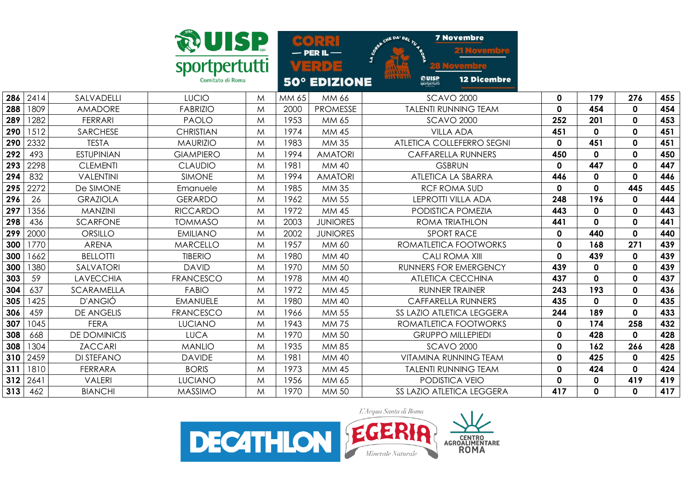|     |      |                     | <b>REP UISP</b>  |   | $\infty$ $\circ$ ) |                     | <b>7 Novembre</b><br>CHE DA' DEL TU 4 BOS               |             |              |              |     |
|-----|------|---------------------|------------------|---|--------------------|---------------------|---------------------------------------------------------|-------------|--------------|--------------|-----|
|     |      |                     |                  |   |                    | <b>PER IL-</b>      | $\mathbf{z}$                                            |             |              |              |     |
|     |      |                     |                  |   |                    | [크림] 기타             | <b>AALAAA</b><br>1882888<br>©UISP<br><b>12 Dicembre</b> |             |              |              |     |
|     |      |                     | Comitato di Roma |   |                    | <b>50° EDIZIONE</b> | sportpertutti                                           |             |              |              |     |
| 286 | 2414 | SALVADELLI          | <b>LUCIO</b>     | M | MM 65              | MM 66               | <b>SCAVO 2000</b>                                       | 0           | 179          | 276          | 455 |
| 288 | 1809 | AMADORE             | <b>FABRIZIO</b>  | M | 2000               | <b>PROMESSE</b>     | <b>TALENTI RUNNING TEAM</b>                             | 0           | 454          | 0            | 454 |
| 289 | 1282 | <b>FERRARI</b>      | <b>PAOLO</b>     | M | 1953               | MM 65               | <b>SCAVO 2000</b>                                       | 252         | 201          | 0            | 453 |
| 290 | 1512 | SARCHESE            | <b>CHRISTIAN</b> | M | 1974               | MM 45               | <b>VILLA ADA</b>                                        | 451         | $\mathbf 0$  | $\mathbf 0$  | 451 |
| 290 | 2332 | <b>TESTA</b>        | <b>MAURIZIO</b>  | M | 1983               | MM 35               | ATLETICA COLLEFERRO SEGNI                               | 0           | 451          | 0            | 451 |
| 292 | 493  | <b>ESTUPINIAN</b>   | <b>GIAMPIERO</b> | M | 1994               | <b>AMATORI</b>      | <b>CAFFARELLA RUNNERS</b>                               | 450         | $\mathbf 0$  | $\mathbf 0$  | 450 |
| 293 | 2298 | <b>CLEMENTI</b>     | <b>CLAUDIO</b>   | M | 1981               | MM 40               | <b>GSBRUN</b>                                           | 0           | 447          | 0            | 447 |
| 294 | 832  | <b>VALENTINI</b>    | <b>SIMONE</b>    | M | 1994               | <b>AMATORI</b>      | ATLETICA LA SBARRA                                      | 446         | $\mathbf 0$  | $\mathbf{0}$ | 446 |
| 295 | 2272 | De SIMONE           | Emanuele         | M | 1985               | MM 35               | <b>RCF ROMA SUD</b>                                     | $\mathbf 0$ | $\mathbf{0}$ | 445          | 445 |
| 296 | 26   | <b>GRAZIOLA</b>     | <b>GERARDO</b>   | M | 1962               | MM 55               | <b>LEPROTTI VILLA ADA</b>                               | 248         | 196          | $\mathbf 0$  | 444 |
| 297 | 1356 | <b>MANZINI</b>      | <b>RICCARDO</b>  | M | 1972               | MM 45               | PODISTICA POMEZIA                                       | 443         | $\mathbf 0$  | 0            | 443 |
| 298 | 436  | <b>SCARFONE</b>     | <b>TOMMASO</b>   | M | 2003               | <b>JUNIORES</b>     | <b>ROMA TRIATHLON</b>                                   | 441         | $\mathbf 0$  | $\mathbf 0$  | 441 |
| 299 | 2000 | ORSILLO             | <b>EMILIANO</b>  | M | 2002               | <b>JUNIORES</b>     | <b>SPORT RACE</b>                                       | 0           | 440          | 0            | 440 |
| 300 | 1770 | <b>ARENA</b>        | <b>MARCELLO</b>  | M | 1957               | MM 60               | ROMATLETICA FOOTWORKS                                   | 0           | 168          | 271          | 439 |
| 300 | 1662 | <b>BELLOTTI</b>     | <b>TIBERIO</b>   | M | 1980               | MM 40               | <b>CALI ROMA XIII</b>                                   | $\mathbf 0$ | 439          | 0            | 439 |
| 300 | 1380 | SALVATORI           | <b>DAVID</b>     | M | 1970               | MM 50               | RUNNERS FOR EMERGENCY                                   | 439         | $\mathbf 0$  | $\mathbf 0$  | 439 |
| 303 | 59   | <b>LAVECCHIA</b>    | <b>FRANCESCO</b> | M | 1978               | MM 40               | <b>ATLETICA CECCHINA</b>                                | 437         | $\mathbf 0$  | $\mathbf 0$  | 437 |
| 304 | 637  | SCARAMELLA          | <b>FABIO</b>     | M | 1972               | MM 45               | <b>RUNNER TRAINER</b>                                   | 243         | 193          | $\mathbf 0$  | 436 |
| 305 | 1425 | <b>D'ANGIÓ</b>      | <b>EMANUELE</b>  | M | 1980               | <b>MM 40</b>        | <b>CAFFARELLA RUNNERS</b>                               | 435         | $\mathbf 0$  | 0            | 435 |
| 306 | 459  | <b>DE ANGELIS</b>   | <b>FRANCESCO</b> | M | 1966               | MM 55               | SS LAZIO ATLETICA LEGGERA                               | 244         | 189          | $\mathbf 0$  | 433 |
| 307 | 1045 | <b>FERA</b>         | <b>LUCIANO</b>   | M | 1943               | <b>MM75</b>         | ROMATLETICA FOOTWORKS                                   | $\mathbf 0$ | 174          | 258          | 432 |
| 308 | 668  | <b>DE DOMINICIS</b> | <b>LUCA</b>      | M | 1970               | MM 50               | <b>GRUPPO MILLEPIEDI</b>                                | $\mathbf 0$ | 428          | 0            | 428 |
| 308 | 1304 | <b>ZACCARI</b>      | <b>MANLIO</b>    | M | 1935               | <b>MM85</b>         | <b>SCAVO 2000</b>                                       | $\mathbf 0$ | 162          | 266          | 428 |
| 310 | 2459 | <b>DI STEFANO</b>   | <b>DAVIDE</b>    | M | 1981               | MM 40               | <b>VITAMINA RUNNING TEAM</b>                            | $\mathbf 0$ | 425          | 0            | 425 |
| 311 | 1810 | <b>FERRARA</b>      | <b>BORIS</b>     | M | 1973               | MM 45               | <b>TALENTI RUNNING TEAM</b>                             | 0           | 424          | 0            | 424 |
| 312 | 2641 | <b>VALERI</b>       | <b>LUCIANO</b>   | M | 1956               | MM 65               | PODISTICA VEIO                                          | $\mathbf 0$ | $\mathbf 0$  | 419          | 419 |
| 313 | 462  | <b>BIANCHI</b>      | <b>MASSIMO</b>   | M | 1970               | MM 50               | SS LAZIO ATLETICA LEGGERA                               | 417         | $\mathbf 0$  | 0            | 417 |

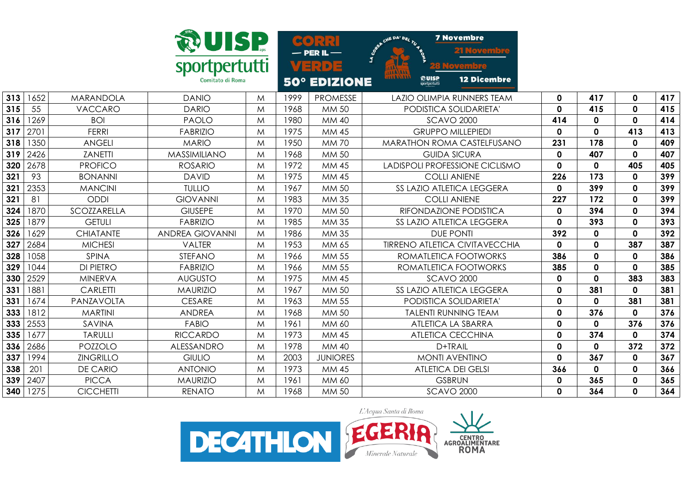|     |      |                  | <b>REP UISP</b>        |   |      |                                               | <b>7 Novembre</b><br>CHE DA' DEL TU 4 BOS                                            |             |             |              |     |
|-----|------|------------------|------------------------|---|------|-----------------------------------------------|--------------------------------------------------------------------------------------|-------------|-------------|--------------|-----|
|     |      |                  | Comitato di Roma       |   |      | <b>PER IL</b><br>[리리이크<br><b>50° EDIZIONE</b> | J<br><b>HALAIL</b><br><b>LASANAA</b><br>@UISP<br><b>12 Dicembre</b><br>sportpertutti |             |             |              |     |
| 313 | 1652 | MARANDOLA        | <b>DANIO</b>           | M | 1999 | <b>PROMESSE</b>                               | LAZIO OLIMPIA RUNNERS TEAM                                                           | $\mathbf 0$ | 417         | 0            | 417 |
| 315 | 55   | VACCARO          | <b>DARIO</b>           | M | 1968 | MM 50                                         | PODISTICA SOLIDARIETA'                                                               | $\mathbf 0$ | 415         | $\mathbf{0}$ | 415 |
| 316 | 1269 | <b>BOI</b>       | <b>PAOLO</b>           | M | 1980 | MM 40                                         | <b>SCAVO 2000</b>                                                                    | 414         | $\mathbf 0$ | 0            | 414 |
| 317 | 2701 | <b>FERRI</b>     | <b>FABRIZIO</b>        | M | 1975 | MM 45                                         | <b>GRUPPO MILLEPIEDI</b>                                                             | $\mathbf 0$ | $\mathbf 0$ | 413          | 413 |
| 318 | 1350 | <b>ANGELI</b>    | <b>MARIO</b>           | M | 1950 | <b>MM70</b>                                   | <b>MARATHON ROMA CASTELFUSANO</b>                                                    | 231         | 178         | 0            | 409 |
| 319 | 2426 | ZANETTI          | <b>MASSIMILIANO</b>    | M | 1968 | MM 50                                         | <b>GUIDA SICURA</b>                                                                  | $\mathbf 0$ | 407         | 0            | 407 |
| 320 | 2678 | <b>PROFICO</b>   | <b>ROSARIO</b>         | M | 1972 | <b>MM 45</b>                                  | LADISPOLI PROFESSIONE CICLISMO                                                       | $\mathbf 0$ | $\mathbf 0$ | 405          | 405 |
| 321 | 93   | <b>BONANNI</b>   | <b>DAVID</b>           | M | 1975 | MM 45                                         | <b>COLLI ANIENE</b>                                                                  | 226         | 173         | $\mathbf{0}$ | 399 |
| 321 | 2353 | <b>MANCINI</b>   | <b>TULLIO</b>          | M | 1967 | MM 50                                         | SS LAZIO ATLETICA LEGGERA                                                            | $\mathbf 0$ | 399         | 0            | 399 |
| 321 | 81   | <b>ODDI</b>      | <b>GIOVANNI</b>        | M | 1983 | MM 35                                         | <b>COLLI ANIENE</b>                                                                  | 227         | 172         | $\mathbf 0$  | 399 |
| 324 | 1870 | SCOZZARELLA      | <b>GIUSEPE</b>         | M | 1970 | MM 50                                         | RIFONDAZIONE PODISTICA                                                               | $\mathbf 0$ | 394         | $\mathbf 0$  | 394 |
| 325 | 1879 | <b>GETULI</b>    | <b>FABRIZIO</b>        | M | 1985 | <b>MM35</b>                                   | SS LAZIO ATLETICA LEGGERA                                                            | $\mathbf 0$ | 393         | $\mathbf 0$  | 393 |
| 326 | 1629 | <b>CHIATANTE</b> | <b>ANDREA GIOVANNI</b> | M | 1986 | MM 35                                         | <b>DUE PONTI</b>                                                                     | 392         | $\mathbf 0$ | 0            | 392 |
| 327 | 2684 | <b>MICHESI</b>   | <b>VALTER</b>          | M | 1953 | MM 65                                         | <b>TIRRENO ATLETICA CIVITAVECCHIA</b>                                                | $\mathbf 0$ | $\mathbf 0$ | 387          | 387 |
| 328 | 1058 | SPINA            | <b>STEFANO</b>         | M | 1966 | MM 55                                         | ROMATLETICA FOOTWORKS                                                                | 386         | $\mathbf 0$ | 0            | 386 |
| 329 | 1044 | <b>DI PIETRO</b> | <b>FABRIZIO</b>        | M | 1966 | MM 55                                         | ROMATLETICA FOOTWORKS                                                                | 385         | $\mathbf 0$ | $\mathbf{0}$ | 385 |
| 330 | 2529 | <b>MINERVA</b>   | <b>AUGUSTO</b>         | M | 1975 | MM 45                                         | <b>SCAVO 2000</b>                                                                    | $\mathbf 0$ | $\mathbf 0$ | 383          | 383 |
| 331 | 1881 | CARLETTI         | <b>MAURIZIO</b>        | M | 1967 | MM 50                                         | SS LAZIO ATLETICA LEGGERA                                                            | $\mathbf 0$ | 381         | 0            | 381 |
| 331 | 1674 | PANZAVOLTA       | <b>CESARE</b>          | M | 1963 | MM 55                                         | PODISTICA SOLIDARIETA'                                                               | 0           | $\mathbf 0$ | 381          | 381 |
| 333 | 1812 | <b>MARTINI</b>   | <b>ANDREA</b>          | M | 1968 | MM 50                                         | <b>TALENTI RUNNING TEAM</b>                                                          | $\mathbf 0$ | 376         | $\mathbf 0$  | 376 |
| 333 | 2553 | SAVINA           | <b>FABIO</b>           | M | 1961 | MM 60                                         | ATLETICA LA SBARRA                                                                   | $\mathbf 0$ | $\mathbf 0$ | 376          | 376 |
| 335 | 1677 | <b>TARULLI</b>   | <b>RICCARDO</b>        | M | 1973 | MM 45                                         | <b>ATLETICA CECCHINA</b>                                                             | $\mathbf 0$ | 374         | 0            | 374 |
| 336 | 2686 | POZZOLO          | ALESSANDRO             | M | 1978 | MM 40                                         | D+TRAIL                                                                              | 0           | $\mathbf 0$ | 372          | 372 |
| 337 | 1994 | <b>ZINGRILLO</b> | <b>GIULIO</b>          | M | 2003 | <b>JUNIORES</b>                               | <b>MONTI AVENTINO</b>                                                                | $\mathbf 0$ | 367         | 0            | 367 |
| 338 | 201  | <b>DE CARIO</b>  | <b>ANTONIO</b>         | M | 1973 | MM 45                                         | <b>ATLETICA DEI GELSI</b>                                                            | 366         | $\mathbf 0$ | 0            | 366 |
| 339 | 2407 | <b>PICCA</b>     | <b>MAURIZIO</b>        | M | 1961 | MM 60                                         | <b>GSBRUN</b>                                                                        | 0           | 365         | 0            | 365 |
| 340 | 1275 | <b>CICCHETTI</b> | <b>RENATO</b>          | M | 1968 | MM 50                                         | <b>SCAVO 2000</b>                                                                    | $\mathbf 0$ | 364         | 0            | 364 |

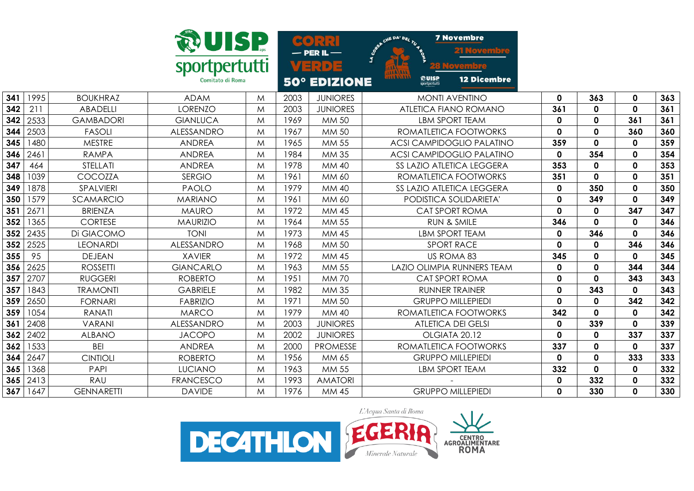|     |      |                   | <b>RUISP</b>      |               | $\infty$ $\bullet$ ) | PERIL                        | <b>7 Novembre</b><br>CHE DA' DEL TU 4 BOS    |             |             |              |     |
|-----|------|-------------------|-------------------|---------------|----------------------|------------------------------|----------------------------------------------|-------------|-------------|--------------|-----|
|     |      |                   |                   | sportpertutti |                      | $\exists$ : $\cup$ $\exists$ | $\mathbf{z}$<br><b>TTU/FTT</b><br>1144411    |             |             |              |     |
|     |      |                   | Comitato di Roma  |               |                      | <b>50° EDIZIONE</b>          | 熱UISP<br><b>12 Dicembre</b><br>sportpertutti |             |             |              |     |
| 341 | 1995 | <b>BOUKHRAZ</b>   | <b>ADAM</b>       | M             | 2003                 | <b>JUNIORES</b>              | <b>MONTI AVENTINO</b>                        | $\mathbf 0$ | 363         | $\mathbf 0$  | 363 |
| 342 | 211  | <b>ABADELLI</b>   | <b>LORENZO</b>    | M             | 2003                 | <b>JUNIORES</b>              | ATLETICA FIANO ROMANO                        | 361         | $\mathbf 0$ | $\mathbf{0}$ | 361 |
| 342 | 2533 | <b>GAMBADORI</b>  | <b>GIANLUCA</b>   | M             | 1969                 | MM 50                        | <b>LBM SPORT TEAM</b>                        | 0           | $\mathbf 0$ | 361          | 361 |
| 344 | 2503 | <b>FASOLI</b>     | ALESSANDRO        | M             | 1967                 | MM 50                        | ROMATLETICA FOOTWORKS                        | $\mathbf 0$ | $\mathbf 0$ | 360          | 360 |
| 345 | 1480 | <b>MESTRE</b>     | <b>ANDREA</b>     | M             | 1965                 | MM 55                        | <b>ACSI CAMPIDOGLIO PALATINO</b>             | 359         | $\mathbf 0$ | 0            | 359 |
| 346 | 2461 | <b>RAMPA</b>      | <b>ANDREA</b>     | M             | 1984                 | MM 35                        | <b>ACSI CAMPIDOGLIO PALATINO</b>             | $\mathbf 0$ | 354         | $\mathbf 0$  | 354 |
| 347 | 464  | STELLATI          | <b>ANDREA</b>     | M             | 1978                 | MM 40                        | SS LAZIO ATLETICA LEGGERA                    | 353         | $\mathbf 0$ | 0            | 353 |
| 348 | 1039 | COCOZZA           | <b>SERGIO</b>     | M             | 1961                 | MM 60                        | ROMATLETICA FOOTWORKS                        | 351         | $\mathbf 0$ | 0            | 351 |
| 349 | 1878 | SPALVIERI         | <b>PAOLO</b>      | M             | 1979                 | MM 40                        | SS LAZIO ATLETICA LEGGERA                    | $\mathbf 0$ | 350         | 0            | 350 |
| 350 | 1579 | <b>SCAMARCIO</b>  | <b>MARIANO</b>    | M             | 1961                 | MM 60                        | PODISTICA SOLIDARIETA'                       | $\mathbf 0$ | 349         | $\mathbf{0}$ | 349 |
| 351 | 2671 | <b>BRIENZA</b>    | <b>MAURO</b>      | M             | 1972                 | MM 45                        | CAT SPORT ROMA                               | 0           | $\mathbf 0$ | 347          | 347 |
| 352 | 1365 | <b>CORTESE</b>    | <b>MAURIZIO</b>   | M             | 1964                 | MM 55                        | <b>RUN &amp; SMILE</b>                       | 346         | $\mathbf 0$ | $\mathbf 0$  | 346 |
| 352 | 2435 | Di GIACOMO        | <b>TONI</b>       | M             | 1973                 | MM 45                        | LBM SPORT TEAM                               | $\mathbf 0$ | 346         | 0            | 346 |
| 352 | 2525 | <b>LEONARDI</b>   | <b>ALESSANDRO</b> | M             | 1968                 | MM 50                        | <b>SPORT RACE</b>                            | $\mathbf 0$ | $\mathbf 0$ | 346          | 346 |
| 355 | 95   | <b>DEJEAN</b>     | <b>XAVIER</b>     | M             | 1972                 | MM 45                        | US ROMA 83                                   | 345         | $\mathbf 0$ | 0            | 345 |
| 356 | 2625 | <b>ROSSETTI</b>   | <b>GIANCARLO</b>  | M             | 1963                 | MM 55                        | <b>LAZIO OLIMPIA RUNNERS TEAM</b>            | $\mathbf 0$ | $\mathbf 0$ | 344          | 344 |
| 357 | 2707 | <b>RUGGERI</b>    | <b>ROBERTO</b>    | M             | 1951                 | <b>MM70</b>                  | CAT SPORT ROMA                               | 0           | $\mathbf 0$ | 343          | 343 |
| 357 | 1843 | <b>TRAMONTI</b>   | <b>GABRIELE</b>   | M             | 1982                 | MM 35                        | <b>RUNNER TRAINER</b>                        | 0           | 343         | 0            | 343 |
| 359 | 2650 | <b>FORNARI</b>    | <b>FABRIZIO</b>   | M             | 1971                 | MM 50                        | <b>GRUPPO MILLEPIEDI</b>                     | $\mathbf 0$ | $\mathbf 0$ | 342          | 342 |
| 359 | 1054 | <b>RANATI</b>     | <b>MARCO</b>      | M             | 1979                 | MM 40                        | ROMATLETICA FOOTWORKS                        | 342         | $\mathbf 0$ | $\mathbf 0$  | 342 |
| 361 | 2408 | <b>VARANI</b>     | ALESSANDRO        | M             | 2003                 | <b>JUNIORES</b>              | <b>ATLETICA DEI GELSI</b>                    | $\mathbf 0$ | 339         | $\mathbf 0$  | 339 |
| 362 | 2402 | <b>ALBANO</b>     | <b>JACOPO</b>     | M             | 2002                 | <b>JUNIORES</b>              | OLGIATA 20.12                                | $\mathbf 0$ | $\mathbf 0$ | 337          | 337 |
| 362 | 1533 | <b>BEI</b>        | <b>ANDREA</b>     | M             | 2000                 | <b>PROMESSE</b>              | ROMATLETICA FOOTWORKS                        | 337         | 0           | 0            | 337 |
| 364 | 2647 | <b>CINTIOLI</b>   | <b>ROBERTO</b>    | M             | 1956                 | MM 65                        | <b>GRUPPO MILLEPIEDI</b>                     | $\mathbf 0$ | $\mathbf 0$ | 333          | 333 |
| 365 | 1368 | PAPI              | <b>LUCIANO</b>    | M             | 1963                 | MM 55                        | <b>LBM SPORT TEAM</b>                        | 332         | $\mathbf 0$ | 0            | 332 |
| 365 | 2413 | RAU               | <b>FRANCESCO</b>  | M             | 1993                 | <b>AMATORI</b>               |                                              | 0           | 332         | 0            | 332 |
| 367 | 1647 | <b>GENNARETTI</b> | <b>DAVIDE</b>     | M             | 1976                 | MM 45                        | <b>GRUPPO MILLEPIEDI</b>                     | $\mathbf 0$ | 330         | 0            | 330 |

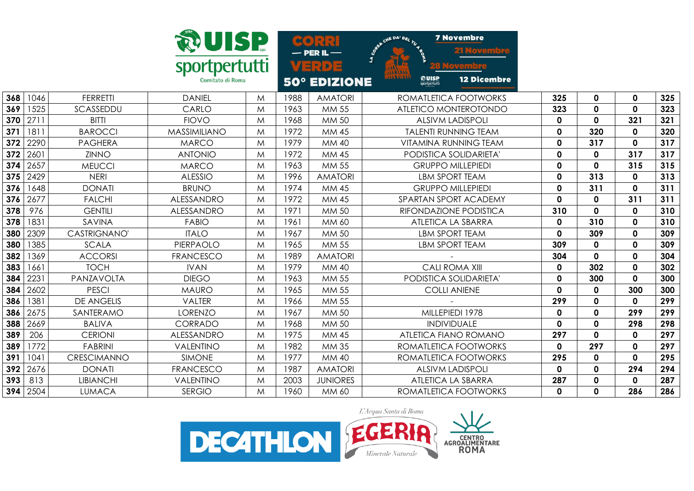|     |      |                   | <b>WUISP</b>                      |   | $\bullet$ $\bullet$ $\bullet$ | R <sup>2</sup>                                       | <b>7 Novembre</b><br>CHE DA' DEL TU 4 BOT                                        |             |             |             |     |
|-----|------|-------------------|-----------------------------------|---|-------------------------------|------------------------------------------------------|----------------------------------------------------------------------------------|-------------|-------------|-------------|-----|
|     |      |                   | sportpertutti<br>Comitato di Roma |   |                               | $-$ PER IL $-$<br>$V = R D E$<br><b>50° EDIZIONE</b> | <b>AAAAAAA</b><br>1141111<br><b>RUISP</b><br><b>12 Dicembre</b><br>sportpertutti |             |             |             |     |
| 368 | 1046 | <b>FERRETTI</b>   | <b>DANIEL</b>                     | M | 1988                          | <b>AMATORI</b>                                       | ROMATLETICA FOOTWORKS                                                            | 325         | $\mathbf 0$ | $\mathbf 0$ | 325 |
| 369 | 1525 | SCASSEDDU         | CARLO                             | M | 1963                          | MM 55                                                | ATLETICO MONTEROTONDO                                                            | 323         | $\mathbf 0$ | 0           | 323 |
| 370 | 2711 | <b>BITTI</b>      | <b>FIOVO</b>                      | M | 1968                          | MM 50                                                | <b>ALSIVM LADISPOLI</b>                                                          | 0           | $\mathbf 0$ | 321         | 321 |
| 371 | 1811 | <b>BAROCCI</b>    | <b>MASSIMILIANO</b>               | M | 1972                          | MM 45                                                | <b>TALENTI RUNNING TEAM</b>                                                      | 0           | 320         | 0           | 320 |
| 372 | 2290 | <b>PAGHERA</b>    | <b>MARCO</b>                      | M | 1979                          | MM 40                                                | <b>VITAMINA RUNNING TEAM</b>                                                     | 0           | 317         | 0           | 317 |
| 372 | 2601 | <b>ZINNO</b>      | <b>ANTONIO</b>                    | M | 1972                          | MM 45                                                | PODISTICA SOLIDARIETA'                                                           | 0           | $\mathbf 0$ | 317         | 317 |
| 374 | 2657 | <b>MEUCCI</b>     | <b>MARCO</b>                      | M | 1963                          | MM 55                                                | <b>GRUPPO MILLEPIEDI</b>                                                         | $\mathbf 0$ | $\mathbf 0$ | 315         | 315 |
| 375 | 2429 | <b>NERI</b>       | <b>ALESSIO</b>                    | M | 1996                          | <b>AMATORI</b>                                       | <b>LBM SPORT TEAM</b>                                                            | 0           | 313         | 0           | 313 |
| 376 | 1648 | <b>DONATI</b>     | <b>BRUNO</b>                      | M | 1974                          | MM 45                                                | <b>GRUPPO MILLEPIEDI</b>                                                         | $\mathbf 0$ | 311         | $\mathbf 0$ | 311 |
| 376 | 2677 | <b>FALCHI</b>     | ALESSANDRO                        | M | 1972                          | MM 45                                                | SPARTAN SPORT ACADEMY                                                            | $\mathbf 0$ | $\mathbf 0$ | 311         | 311 |
| 378 | 976  | <b>GENTILI</b>    | ALESSANDRO                        | M | 1971                          | MM 50                                                | RIFONDAZIONE PODISTICA                                                           | 310         | $\mathbf 0$ | 0           | 310 |
| 378 | 1831 | SAVINA            | <b>FABIO</b>                      | M | 1961                          | MM 60                                                | <b>ATLETICA LA SBARRA</b>                                                        | $\mathbf 0$ | 310         | 0           | 310 |
| 380 | 2309 | CASTRIGNANO'      | <b>ITALO</b>                      | M | 1967                          | MM 50                                                | LBM SPORT TEAM                                                                   | $\mathbf 0$ | 309         | 0           | 309 |
| 380 | 1385 | <b>SCALA</b>      | PIERPAOLO                         | M | 1965                          | MM 55                                                | LBM SPORT TEAM                                                                   | 309         | $\mathbf 0$ | 0           | 309 |
| 382 | 1369 | <b>ACCORSI</b>    | <b>FRANCESCO</b>                  | M | 1989                          | <b>AMATORI</b>                                       |                                                                                  | 304         | $\mathbf 0$ | 0           | 304 |
| 383 | 1661 | <b>TOCH</b>       | <b>IVAN</b>                       | M | 1979                          | MM 40                                                | <b>CALI ROMA XIII</b>                                                            | 0           | 302         | 0           | 302 |
| 384 | 2231 | PANZAVOLTA        | <b>DIEGO</b>                      | M | 1963                          | MM 55                                                | PODISTICA SOLIDARIETA'                                                           | $\mathbf 0$ | 300         | 0           | 300 |
| 384 | 2602 | <b>PESCI</b>      | <b>MAURO</b>                      | M | 1965                          | MM 55                                                | <b>COLLI ANIENE</b>                                                              | $\mathbf 0$ | $\mathbf 0$ | 300         | 300 |
| 386 | 1381 | <b>DE ANGELIS</b> | <b>VALTER</b>                     | M | 1966                          | MM 55                                                |                                                                                  | 299         | $\mathbf 0$ | 0           | 299 |
| 386 | 2675 | SANTERAMO         | <b>LORENZO</b>                    | M | 1967                          | MM 50                                                | MILLEPIEDI 1978                                                                  | $\mathbf 0$ | $\mathbf 0$ | 299         | 299 |
| 388 | 2669 | <b>BALIVA</b>     | CORRADO                           | M | 1968                          | MM 50                                                | <b>INDIVIDUALE</b>                                                               | $\mathbf 0$ | $\mathbf 0$ | 298         | 298 |
| 389 | 206  | <b>CERIONI</b>    | ALESSANDRO                        | M | 1975                          | MM 45                                                | <b>ATLETICA FIANO ROMANO</b>                                                     | 297         | $\mathbf 0$ | 0           | 297 |
| 389 | 1772 | <b>FABRINI</b>    | <b>VALENTINO</b>                  | M | 1982                          | MM 35                                                | ROMATLETICA FOOTWORKS                                                            | $\mathbf 0$ | 297         | 0           | 297 |
| 391 | 1041 | CRESCIMANNO       | <b>SIMONE</b>                     | M | 1977                          | MM 40                                                | ROMATLETICA FOOTWORKS                                                            | 295         | $\mathbf 0$ | $\mathbf 0$ | 295 |
| 392 | 2676 | <b>DONATI</b>     | <b>FRANCESCO</b>                  | M | 1987                          | <b>AMATORI</b>                                       | <b>ALSIVM LADISPOLI</b>                                                          | $\mathbf 0$ | $\mathbf 0$ | 294         | 294 |
| 393 | 813  | <b>LIBIANCHI</b>  | VALENTINO                         | M | 2003                          | <b>JUNIORES</b>                                      | ATLETICA LA SBARRA                                                               | 287         | $\mathbf 0$ | 0           | 287 |
| 394 | 2504 | <b>LUMACA</b>     | <b>SERGIO</b>                     | M | 1960                          | MM 60                                                | ROMATLETICA FOOTWORKS                                                            | 0           | $\mathbf 0$ | 286         | 286 |

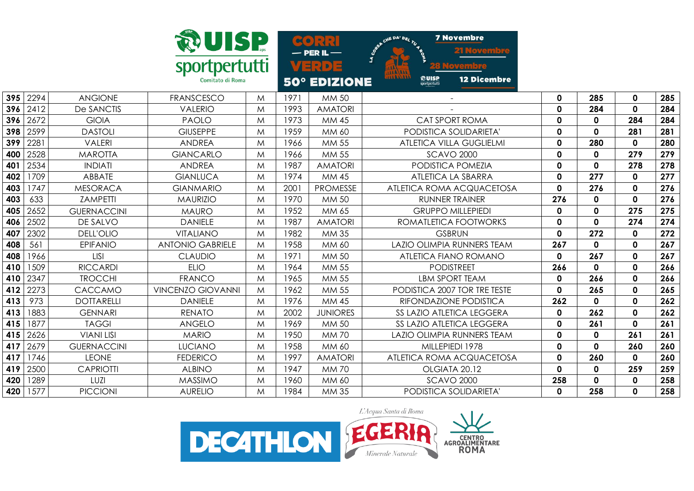|     |            |                    | <b>RUISP</b><br>sportpertutti<br>Comitato di Roma |   |      | <b>BORR</b><br>$-$ PER IL $-$<br>비리미디<br><b>50° EDIZIONE</b> | <b>7 Novembre</b><br>CHE DA' DEL TU 4 BOS<br>.<br><b>RUISP</b><br><b>12 Dicembre</b><br>sportpertutti |             |              |              |     |
|-----|------------|--------------------|---------------------------------------------------|---|------|--------------------------------------------------------------|-------------------------------------------------------------------------------------------------------|-------------|--------------|--------------|-----|
| 395 | 2294       | <b>ANGIONE</b>     | <b>FRANSCESCO</b>                                 | M | 1971 | MM 50                                                        |                                                                                                       | $\mathbf 0$ | 285          | 0            | 285 |
|     | $396$ 2412 | <b>De SANCTIS</b>  | <b>VALERIO</b>                                    | M | 1993 | <b>AMATORI</b>                                               |                                                                                                       | $\mathbf 0$ | 284          | $\mathbf 0$  | 284 |
| 396 | 2672       | <b>GIOIA</b>       | <b>PAOLO</b>                                      | M | 1973 | MM 45                                                        | CAT SPORT ROMA                                                                                        | 0           | 0            | 284          | 284 |
| 398 | 2599       | <b>DASTOLI</b>     | <b>GIUSEPPE</b>                                   | M | 1959 | MM 60                                                        | PODISTICA SOLIDARIETA'                                                                                | 0           | $\mathbf 0$  | 281          | 281 |
| 399 | 2281       | <b>VALERI</b>      | <b>ANDREA</b>                                     | M | 1966 | MM 55                                                        | <b>ATLETICA VILLA GUGLIELMI</b>                                                                       | $\mathbf 0$ | 280          | 0            | 280 |
| 400 | 2528       | <b>MAROTTA</b>     | <b>GIANCARLO</b>                                  | M | 1966 | MM 55                                                        | <b>SCAVO 2000</b>                                                                                     | $\mathbf 0$ | 0            | 279          | 279 |
| 401 | 2534       | <b>INDIATI</b>     | <b>ANDREA</b>                                     | M | 1987 | <b>AMATORI</b>                                               | PODISTICA POMEZIA                                                                                     | 0           | 0            | 278          | 278 |
| 402 | 1709       | ABBATE             | <b>GIANLUCA</b>                                   | M | 1974 | MM 45                                                        | <b>ATLETICA LA SBARRA</b>                                                                             | $\mathbf 0$ | 277          | 0            | 277 |
| 403 | 1747       | <b>MESORACA</b>    | <b>GIANMARIO</b>                                  | M | 2001 | <b>PROMESSE</b>                                              | ATLETICA ROMA ACQUACETOSA                                                                             | $\mathbf 0$ | 276          | 0            | 276 |
| 403 | 633        | ZAMPETTI           | <b>MAURIZIO</b>                                   | M | 1970 | MM 50                                                        | <b>RUNNER TRAINER</b>                                                                                 | 276         | 0            | $\mathbf 0$  | 276 |
| 405 | 2652       | <b>GUERNACCINI</b> | <b>MAURO</b>                                      | M | 1952 | MM 65                                                        | <b>GRUPPO MILLEPIEDI</b>                                                                              | 0           | $\mathbf 0$  | 275          | 275 |
| 406 | 2502       | DE SALVO           | <b>DANIELE</b>                                    | M | 1987 | <b>AMATORI</b>                                               | ROMATLETICA FOOTWORKS                                                                                 | $\mathbf 0$ | $\mathbf 0$  | 274          | 274 |
| 407 | 2302       | <b>DELL'OLIO</b>   | <b>VITALIANO</b>                                  | M | 1982 | MM 35                                                        | <b>GSBRUN</b>                                                                                         | 0           | 272          | 0            | 272 |
| 408 | 561        | <b>EPIFANIO</b>    | <b>ANTONIO GABRIELE</b>                           | M | 1958 | MM 60                                                        | <b>LAZIO OLIMPIA RUNNERS TEAM</b>                                                                     | 267         | $\mathbf 0$  | 0            | 267 |
| 408 | 1966       | <b>LISI</b>        | <b>CLAUDIO</b>                                    | M | 1971 | MM 50                                                        | ATLETICA FIANO ROMANO                                                                                 | 0           | 267          | 0            | 267 |
| 410 | 1509       | <b>RICCARDI</b>    | <b>ELIO</b>                                       | M | 1964 | MM 55                                                        | <b>PODISTREET</b>                                                                                     | 266         | $\mathbf{0}$ | 0            | 266 |
| 410 | 2347       | <b>TROCCHI</b>     | <b>FRANCO</b>                                     | M | 1965 | MM 55                                                        | <b>LBM SPORT TEAM</b>                                                                                 | $\mathbf 0$ | 266          | 0            | 266 |
| 412 | 2273       | CACCAMO            | <b>VINCENZO GIOVANNI</b>                          | M | 1962 | MM 55                                                        | PODISTICA 2007 TOR TRE TESTE                                                                          | $\mathbf 0$ | 265          | 0            | 265 |
| 413 | 973        | <b>DOTTARELLI</b>  | <b>DANIELE</b>                                    | M | 1976 | MM 45                                                        | RIFONDAZIONE PODISTICA                                                                                | 262         | 0            | 0            | 262 |
| 413 | 1883       | <b>GENNARI</b>     | <b>RENATO</b>                                     | M | 2002 | <b>JUNIORES</b>                                              | SS LAZIO ATLETICA LEGGERA                                                                             | $\mathbf 0$ | 262          | $\mathbf 0$  | 262 |
| 415 | 1877       | <b>TAGGI</b>       | <b>ANGELO</b>                                     | M | 1969 | MM 50                                                        | SS LAZIO ATLETICA LEGGERA                                                                             | 0           | 261          | 0            | 261 |
| 415 | 2626       | <b>VIANI LISI</b>  | <b>MARIO</b>                                      | M | 1950 | <b>MM70</b>                                                  | LAZIO OLIMPIA RUNNERS TEAM                                                                            | $\mathbf 0$ | $\mathbf 0$  | 261          | 261 |
| 417 | 2679       | <b>GUERNACCINI</b> | <b>LUCIANO</b>                                    | M | 1958 | MM 60                                                        | MILLEPIEDI 1978                                                                                       | 0           | 0            | 260          | 260 |
| 417 | 1746       | <b>LEONE</b>       | <b>FEDERICO</b>                                   | M | 1997 | <b>AMATORI</b>                                               | ATLETICA ROMA ACQUACETOSA                                                                             | $\mathbf 0$ | 260          | $\mathbf{0}$ | 260 |
| 419 | 2500       | <b>CAPRIOTTI</b>   | <b>ALBINO</b>                                     | M | 1947 | <b>MM70</b>                                                  | OLGIATA 20.12                                                                                         | $\mathbf 0$ | $\mathbf 0$  | 259          | 259 |
| 420 | 1289       | LUZI               | <b>MASSIMO</b>                                    | M | 1960 | MM 60                                                        | <b>SCAVO 2000</b>                                                                                     | 258         | 0            | 0            | 258 |
| 420 | 1577       | <b>PICCIONI</b>    | <b>AURELIO</b>                                    | M | 1984 | MM 35                                                        | PODISTICA SOLIDARIETA'                                                                                | $\mathbf 0$ | 258          | $\mathbf 0$  | 258 |

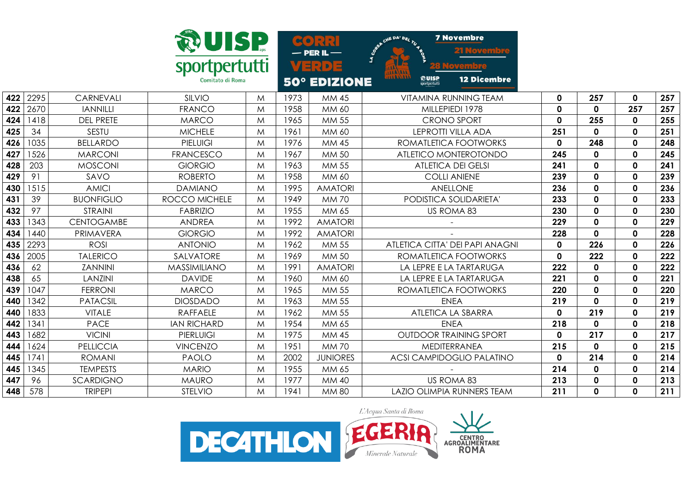|     |      |                   | <b>RUISP</b>        |   | $\infty$ $\bullet$ ) | $PERIL$ —           | CHE DA' DEL TU 4 BOS | <b>7 Novembre</b>         |                                   |             |             |              |     |
|-----|------|-------------------|---------------------|---|----------------------|---------------------|----------------------|---------------------------|-----------------------------------|-------------|-------------|--------------|-----|
|     |      |                   | sportpertutti       |   |                      | (ERDE               | J                    |                           |                                   |             |             |              |     |
|     |      |                   | Comitato di Roma    |   |                      | <b>50° EDIZIONE</b> | <b>HALAIL</b>        | 森UISP<br>sportpertutti    | <b>12 Dicembre</b>                |             |             |              |     |
| 422 | 2295 | CARNEVALI         | SILVIO              | M | 1973                 | MM 45               |                      |                           | <b>VITAMINA RUNNING TEAM</b>      | $\mathbf 0$ | 257         | 0            | 257 |
| 422 | 2670 | <b>IANNILLI</b>   | <b>FRANCO</b>       | M | 1958                 | MM 60               |                      | MILLEPIEDI 1978           |                                   | 0           | $\mathbf 0$ | 257          | 257 |
| 424 | 1418 | <b>DEL PRETE</b>  | <b>MARCO</b>        | M | 1965                 | MM 55               |                      | <b>CRONO SPORT</b>        |                                   | $\mathbf 0$ | 255         | 0            | 255 |
| 425 | 34   | SESTU             | <b>MICHELE</b>      | M | 1961                 | MM 60               |                      | <b>LEPROTTI VILLA ADA</b> |                                   | 251         | $\mathbf 0$ | 0            | 251 |
| 426 | 1035 | <b>BELLARDO</b>   | <b>PIELUIGI</b>     | M | 1976                 | MM 45               |                      |                           | ROMATLETICA FOOTWORKS             | $\mathbf 0$ | 248         | $\mathbf 0$  | 248 |
| 427 | 1526 | <b>MARCONI</b>    | <b>FRANCESCO</b>    | M | 1967                 | MM 50               |                      |                           | ATLETICO MONTEROTONDO             | 245         | $\mathbf 0$ | $\mathbf 0$  | 245 |
| 428 | 203  | <b>MOSCONI</b>    | <b>GIORGIO</b>      | M | 1963                 | MM 55               |                      | <b>ATLETICA DEI GELSI</b> |                                   | 241         | $\mathbf 0$ | 0            | 241 |
| 429 | 91   | SAVO              | <b>ROBERTO</b>      | M | 1958                 | MM 60               |                      | <b>COLLI ANIENE</b>       |                                   | 239         | $\mathbf 0$ | $\mathbf 0$  | 239 |
| 430 | 1515 | <b>AMICI</b>      | <b>DAMIANO</b>      | M | 1995                 | <b>AMATORI</b>      |                      | ANELLONE                  |                                   | 236         | $\mathbf 0$ | 0            | 236 |
| 431 | 39   | <b>BUONFIGLIO</b> | ROCCO MICHELE       | M | 1949                 | <b>MM70</b>         |                      |                           | PODISTICA SOLIDARIETA'            | 233         | $\mathbf 0$ | $\mathbf 0$  | 233 |
| 432 | 97   | <b>STRAINI</b>    | <b>FABRIZIO</b>     | M | 1955                 | MM 65               |                      | US ROMA 83                |                                   | 230         | $\mathbf 0$ | 0            | 230 |
| 433 | 1343 | <b>CENTOGAMBE</b> | <b>ANDREA</b>       | M | 1992                 | <b>AMATORI</b>      |                      |                           |                                   | 229         | $\mathbf 0$ | $\mathbf 0$  | 229 |
| 434 | 1440 | PRIMAVERA         | <b>GIORGIO</b>      | M | 1992                 | <b>AMATORI</b>      |                      |                           |                                   | 228         | $\mathbf 0$ | $\mathbf 0$  | 228 |
| 435 | 2293 | <b>ROSI</b>       | <b>ANTONIO</b>      | M | 1962                 | MM 55               |                      |                           | ATLETICA CITTA' DEI PAPI ANAGNI   | 0           | 226         | $\mathbf 0$  | 226 |
| 436 | 2005 | <b>TALERICO</b>   | SALVATORE           | M | 1969                 | MM 50               |                      |                           | ROMATLETICA FOOTWORKS             | $\mathbf 0$ | 222         | $\mathbf 0$  | 222 |
| 436 | 62   | <b>ZANNINI</b>    | <b>MASSIMILIANO</b> | M | 1991                 | <b>AMATORI</b>      |                      |                           | LA LEPRE E LA TARTARUGA           | 222         | $\mathbf 0$ | 0            | 222 |
| 438 | 65   | <b>LANZINI</b>    | <b>DAVIDE</b>       | M | 1960                 | MM 60               |                      |                           | LA LEPRE E LA TARTARUGA           | 221         | $\mathbf 0$ | 0            | 221 |
| 439 | 1047 | <b>FERRONI</b>    | <b>MARCO</b>        | M | 1965                 | MM 55               |                      |                           | ROMATLETICA FOOTWORKS             | 220         | $\mathbf 0$ | $\mathbf 0$  | 220 |
| 440 | 1342 | <b>PATACSIL</b>   | <b>DIOSDADO</b>     | M | 1963                 | MM 55               |                      | <b>ENEA</b>               |                                   | 219         | $\mathbf 0$ | 0            | 219 |
| 440 | 1833 | <b>VITALE</b>     | <b>RAFFAELE</b>     | M | 1962                 | MM 55               |                      |                           | ATLETICA LA SBARRA                | $\mathbf 0$ | 219         | 0            | 219 |
| 442 | 1341 | <b>PACE</b>       | <b>IAN RICHARD</b>  | M | 1954                 | MM 65               |                      | <b>ENEA</b>               |                                   | 218         | $\mathbf 0$ | 0            | 218 |
| 443 | 1682 | <b>VICINI</b>     | <b>PIERLUIGI</b>    | M | 1975                 | MM 45               |                      |                           | <b>OUTDOOR TRAINING SPORT</b>     | $\mathbf 0$ | 217         | 0            | 217 |
| 444 | 1624 | <b>PELLICCIA</b>  | <b>VINCENZO</b>     | M | 1951                 | <b>MM70</b>         |                      | MEDITERRANEA              |                                   | 215         | $\mathbf 0$ | $\mathbf 0$  | 215 |
| 445 | 1741 | <b>ROMANI</b>     | <b>PAOLO</b>        | M | 2002                 | <b>JUNIORES</b>     |                      |                           | <b>ACSI CAMPIDOGLIO PALATINO</b>  | $\mathbf 0$ | 214         | 0            | 214 |
| 445 | 1345 | <b>TEMPESTS</b>   | <b>MARIO</b>        | M | 1955                 | MM 65               |                      |                           |                                   | 214         | 0           | 0            | 214 |
| 447 | 96   | <b>SCARDIGNO</b>  | <b>MAURO</b>        | M | 1977                 | MM 40               |                      | US ROMA 83                |                                   | 213         | $\mathbf 0$ | $\mathbf 0$  | 213 |
| 448 | 578  | <b>TRIPEPI</b>    | <b>STELVIO</b>      | M | 1941                 | <b>MM80</b>         |                      |                           | <b>LAZIO OLIMPIA RUNNERS TEAM</b> | 211         | $\mathbf 0$ | $\mathbf{0}$ | 211 |